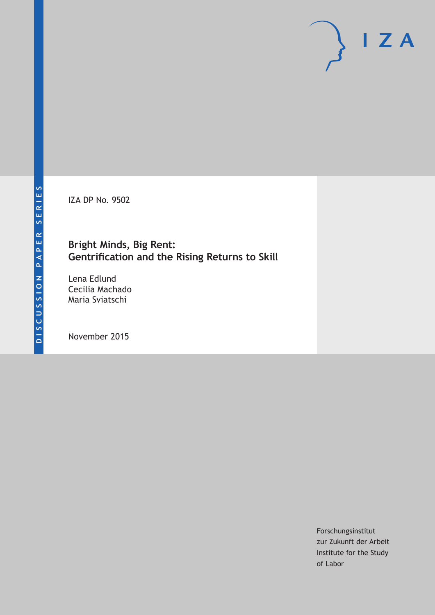IZA DP No. 9502

### **Bright Minds, Big Rent: Gentrification and the Rising Returns to Skill**

Lena Edlund Cecilia Machado Maria Sviatschi

November 2015

Forschungsinstitut zur Zukunft der Arbeit Institute for the Study of Labor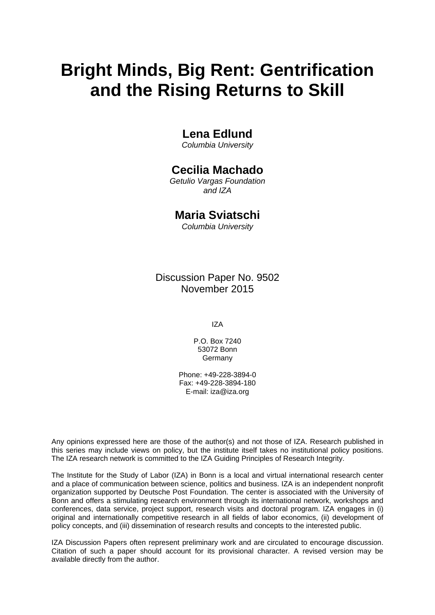# **Bright Minds, Big Rent: Gentrification and the Rising Returns to Skill**

### **Lena Edlund**

*Columbia University* 

### **Cecilia Machado**

*Getulio Vargas Foundation and IZA* 

### **Maria Sviatschi**

*Columbia University*

Discussion Paper No. 9502 November 2015

IZA

P.O. Box 7240 53072 Bonn **Germany** 

Phone: +49-228-3894-0 Fax: +49-228-3894-180 E-mail: iza@iza.org

Any opinions expressed here are those of the author(s) and not those of IZA. Research published in this series may include views on policy, but the institute itself takes no institutional policy positions. The IZA research network is committed to the IZA Guiding Principles of Research Integrity.

The Institute for the Study of Labor (IZA) in Bonn is a local and virtual international research center and a place of communication between science, politics and business. IZA is an independent nonprofit organization supported by Deutsche Post Foundation. The center is associated with the University of Bonn and offers a stimulating research environment through its international network, workshops and conferences, data service, project support, research visits and doctoral program. IZA engages in (i) original and internationally competitive research in all fields of labor economics, (ii) development of policy concepts, and (iii) dissemination of research results and concepts to the interested public.

IZA Discussion Papers often represent preliminary work and are circulated to encourage discussion. Citation of such a paper should account for its provisional character. A revised version may be available directly from the author.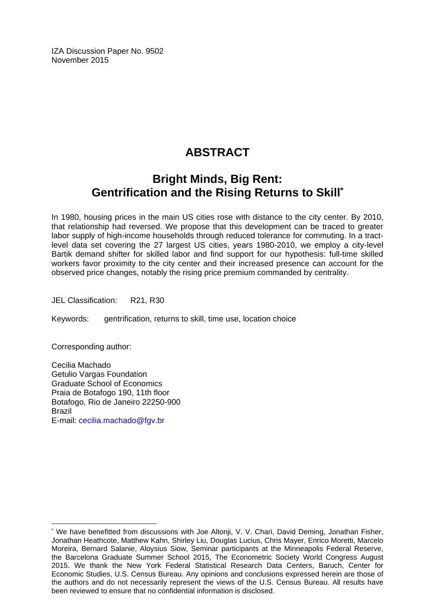IZA Discussion Paper No. 9502 November 2015

# **ABSTRACT**

# **Bright Minds, Big Rent: Gentrification and the Rising Returns to Skill\***

In 1980, housing prices in the main US cities rose with distance to the city center. By 2010, that relationship had reversed. We propose that this development can be traced to greater labor supply of high-income households through reduced tolerance for commuting. In a tractlevel data set covering the 27 largest US cities, years 1980-2010, we employ a city-level Bartik demand shifter for skilled labor and find support for our hypothesis: full-time skilled workers favor proximity to the city center and their increased presence can account for the observed price changes, notably the rising price premium commanded by centrality.

JEL Classification: R21, R30

Keywords: gentrification, returns to skill, time use, location choice

Corresponding author:

 $\overline{a}$ 

Cecilia Machado Getulio Vargas Foundation Graduate School of Economics Praia de Botafogo 190, 11th floor Botafogo, Rio de Janeiro 22250-900 Brazil E-mail: cecilia.machado@fgv.br

<sup>\*</sup> We have benefitted from discussions with Joe Altonji, V. V. Chari, David Deming, Jonathan Fisher, Jonathan Heathcote, Matthew Kahn, Shirley Liu, Douglas Lucius, Chris Mayer, Enrico Moretti, Marcelo Moreira, Bernard Salanie, Aloysius Siow, Seminar participants at the Minneapolis Federal Reserve, the Barcelona Graduate Summer School 2015, The Econometric Society World Congress August 2015. We thank the New York Federal Statistical Research Data Centers, Baruch, Center for Economic Studies, U.S. Census Bureau. Any opinions and conclusions expressed herein are those of the authors and do not necessarily represent the views of the U.S. Census Bureau. All results have been reviewed to ensure that no confidential information is disclosed.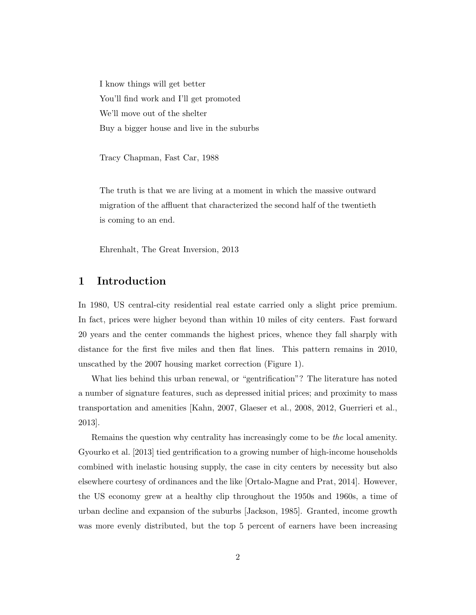I know things will get better You'll find work and I'll get promoted We'll move out of the shelter Buy a bigger house and live in the suburbs

Tracy Chapman, Fast Car, 1988

The truth is that we are living at a moment in which the massive outward migration of the affluent that characterized the second half of the twentieth is coming to an end.

Ehrenhalt, The Great Inversion, 2013

### **1 Introduction**

In 1980, US central-city residential real estate carried only a slight price premium. In fact, prices were higher beyond than within 10 miles of city centers. Fast forward 20 years and the center commands the highest prices, whence they fall sharply with distance for the first five miles and then flat lines. This pattern remains in 2010, unscathed by the 2007 housing market correction (Figure 1).

What lies behind this urban renewal, or "gentrification"? The literature has noted a number of signature features, such as depressed initial prices; and proximity to mass transportation and amenities [Kahn, 2007, Glaeser et al., 2008, 2012, Guerrieri et al., 2013].

Remains the question why centrality has increasingly come to be *the* local amenity. Gyourko et al. [2013] tied gentrification to a growing number of high-income households combined with inelastic housing supply, the case in city centers by necessity but also elsewhere courtesy of ordinances and the like [Ortalo-Magne and Prat, 2014]. However, the US economy grew at a healthy clip throughout the 1950s and 1960s, a time of urban decline and expansion of the suburbs [Jackson, 1985]. Granted, income growth was more evenly distributed, but the top 5 percent of earners have been increasing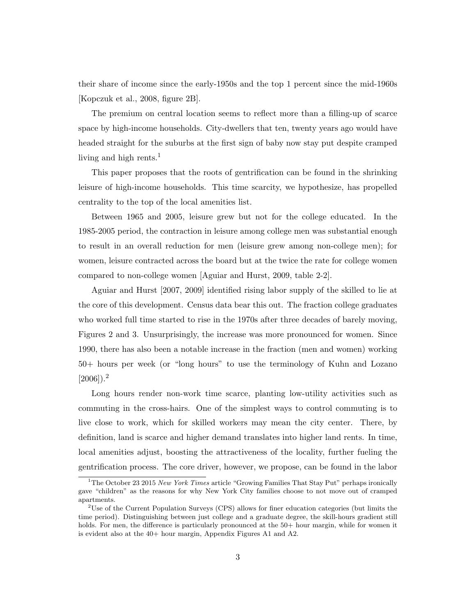their share of income since the early-1950s and the top 1 percent since the mid-1960s [Kopczuk et al., 2008, figure 2B].

The premium on central location seems to reflect more than a filling-up of scarce space by high-income households. City-dwellers that ten, twenty years ago would have headed straight for the suburbs at the first sign of baby now stay put despite cramped living and high rents. $<sup>1</sup>$ </sup>

This paper proposes that the roots of gentrification can be found in the shrinking leisure of high-income households. This time scarcity, we hypothesize, has propelled centrality to the top of the local amenities list.

Between 1965 and 2005, leisure grew but not for the college educated. In the 1985-2005 period, the contraction in leisure among college men was substantial enough to result in an overall reduction for men (leisure grew among non-college men); for women, leisure contracted across the board but at the twice the rate for college women compared to non-college women [Aguiar and Hurst, 2009, table 2-2].

Aguiar and Hurst [2007, 2009] identified rising labor supply of the skilled to lie at the core of this development. Census data bear this out. The fraction college graduates who worked full time started to rise in the 1970s after three decades of barely moving, Figures 2 and 3. Unsurprisingly, the increase was more pronounced for women. Since 1990, there has also been a notable increase in the fraction (men and women) working 50+ hours per week (or "long hours" to use the terminology of Kuhn and Lozano  $[2006]$ ).<sup>2</sup>

Long hours render non-work time scarce, planting low-utility activities such as commuting in the cross-hairs. One of the simplest ways to control commuting is to live close to work, which for skilled workers may mean the city center. There, by definition, land is scarce and higher demand translates into higher land rents. In time, local amenities adjust, boosting the attractiveness of the locality, further fueling the gentrification process. The core driver, however, we propose, can be found in the labor

<sup>&</sup>lt;sup>1</sup>The October 23 2015 *New York Times* article "Growing Families That Stay Put" perhaps ironically gave "children" as the reasons for why New York City families choose to not move out of cramped apartments.

<sup>2</sup>Use of the Current Population Surveys (CPS) allows for finer education categories (but limits the time period). Distinguishing between just college and a graduate degree, the skill-hours gradient still holds. For men, the difference is particularly pronounced at the  $50+$  hour margin, while for women it is evident also at the 40+ hour margin, Appendix Figures A1 and A2.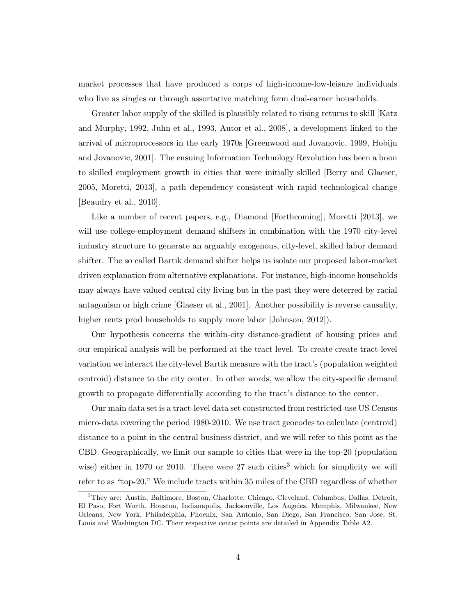market processes that have produced a corps of high-income-low-leisure individuals who live as singles or through assortative matching form dual-earner households.

Greater labor supply of the skilled is plausibly related to rising returns to skill [Katz and Murphy, 1992, Juhn et al., 1993, Autor et al., 2008], a development linked to the arrival of microprocessors in the early 1970s [Greenwood and Jovanovic, 1999, Hobijn and Jovanovic, 2001]. The ensuing Information Technology Revolution has been a boon to skilled employment growth in cities that were initially skilled [Berry and Glaeser, 2005, Moretti, 2013], a path dependency consistent with rapid technological change [Beaudry et al., 2010].

Like a number of recent papers, e.g., Diamond [Forthcoming], Moretti [2013], we will use college-employment demand shifters in combination with the 1970 city-level industry structure to generate an arguably exogenous, city-level, skilled labor demand shifter. The so called Bartik demand shifter helps us isolate our proposed labor-market driven explanation from alternative explanations. For instance, high-income households may always have valued central city living but in the past they were deterred by racial antagonism or high crime [Glaeser et al., 2001]. Another possibility is reverse causality, higher rents prod households to supply more labor [Johnson, 2012]).

Our hypothesis concerns the within-city distance-gradient of housing prices and our empirical analysis will be performed at the tract level. To create create tract-level variation we interact the city-level Bartik measure with the tract's (population weighted centroid) distance to the city center. In other words, we allow the city-specific demand growth to propagate differentially according to the tract's distance to the center.

Our main data set is a tract-level data set constructed from restricted-use US Census micro-data covering the period 1980-2010. We use tract geocodes to calculate (centroid) distance to a point in the central business district, and we will refer to this point as the CBD. Geographically, we limit our sample to cities that were in the top-20 (population wise) either in 1970 or 2010. There were  $27$  such cities<sup>3</sup> which for simplicity we will refer to as "top-20." We include tracts within 35 miles of the CBD regardless of whether

<sup>&</sup>lt;sup>3</sup>They are: Austin, Baltimore, Boston, Charlotte, Chicago, Cleveland, Columbus, Dallas, Detroit, El Paso, Fort Worth, Houston, Indianapolis, Jacksonville, Los Angeles, Memphis, Milwaukee, New Orleans, New York, Philadelphia, Phoenix, San Antonio, San Diego, San Francisco, San Jose, St. Louis and Washington DC. Their respective center points are detailed in Appendix Table A2.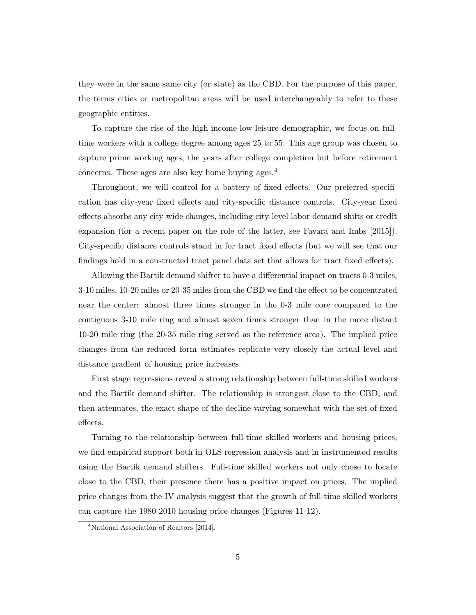they were in the same same city (or state) as the CBD. For the purpose of this paper, the terms cities or metropolitan areas will be used interchangeably to refer to these geographic entities.

To capture the rise of the high-income-low-leisure demographic, we focus on fulltime workers with a college degree among ages 25 to 55. This age group was chosen to capture prime working ages, the years after college completion but before retirement concerns. These ages are also key home buying ages.<sup>4</sup>

Throughout, we will control for a battery of fixed effects. Our preferred specification has city-year fixed effects and city-specific distance controls. City-year fixed effects absorbs any city-wide changes, including city-level labor demand shifts or credit expansion (for a recent paper on the role of the latter, see Favara and Imbs [2015]). City-specific distance controls stand in for tract fixed effects (but we will see that our findings hold in a constructed tract panel data set that allows for tract fixed effects).

Allowing the Bartik demand shifter to have a differential impact on tracts 0-3 miles, 3-10 miles, 10-20 miles or 20-35 miles from the CBD we find the effect to be concentrated near the center: almost three times stronger in the 0-3 mile core compared to the contiguous 3-10 mile ring and almost seven times stronger than in the more distant 10-20 mile ring (the 20-35 mile ring served as the reference area). The implied price changes from the reduced form estimates replicate very closely the actual level and distance gradient of housing price increases.

First stage regressions reveal a strong relationship between full-time skilled workers and the Bartik demand shifter. The relationship is strongest close to the CBD, and then attenuates, the exact shape of the decline varying somewhat with the set of fixed effects.

Turning to the relationship between full-time skilled workers and housing prices, we find empirical support both in OLS regression analysis and in instrumented results using the Bartik demand shifters. Full-time skilled workers not only chose to locate close to the CBD, their presence there has a positive impact on prices. The implied price changes from the IV analysis suggest that the growth of full-time skilled workers can capture the 1980-2010 housing price changes (Figures 11-12).

<sup>4</sup>National Association of Realtors [2014].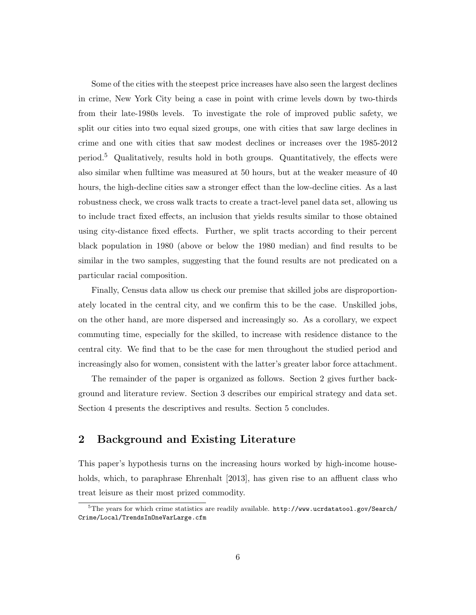Some of the cities with the steepest price increases have also seen the largest declines in crime, New York City being a case in point with crime levels down by two-thirds from their late-1980s levels. To investigate the role of improved public safety, we split our cities into two equal sized groups, one with cities that saw large declines in crime and one with cities that saw modest declines or increases over the 1985-2012 period.<sup>5</sup> Qualitatively, results hold in both groups. Quantitatively, the effects were also similar when fulltime was measured at 50 hours, but at the weaker measure of 40 hours, the high-decline cities saw a stronger effect than the low-decline cities. As a last robustness check, we cross walk tracts to create a tract-level panel data set, allowing us to include tract fixed effects, an inclusion that yields results similar to those obtained using city-distance fixed effects. Further, we split tracts according to their percent black population in 1980 (above or below the 1980 median) and find results to be similar in the two samples, suggesting that the found results are not predicated on a particular racial composition.

Finally, Census data allow us check our premise that skilled jobs are disproportionately located in the central city, and we confirm this to be the case. Unskilled jobs, on the other hand, are more dispersed and increasingly so. As a corollary, we expect commuting time, especially for the skilled, to increase with residence distance to the central city. We find that to be the case for men throughout the studied period and increasingly also for women, consistent with the latter's greater labor force attachment.

The remainder of the paper is organized as follows. Section 2 gives further background and literature review. Section 3 describes our empirical strategy and data set. Section 4 presents the descriptives and results. Section 5 concludes.

### **2 Background and Existing Literature**

This paper's hypothesis turns on the increasing hours worked by high-income households, which, to paraphrase Ehrenhalt [2013], has given rise to an affluent class who treat leisure as their most prized commodity.

 $5$ The years for which crime statistics are readily available. http://www.ucrdatatool.gov/Search/ Crime/Local/TrendsInOneVarLarge.cfm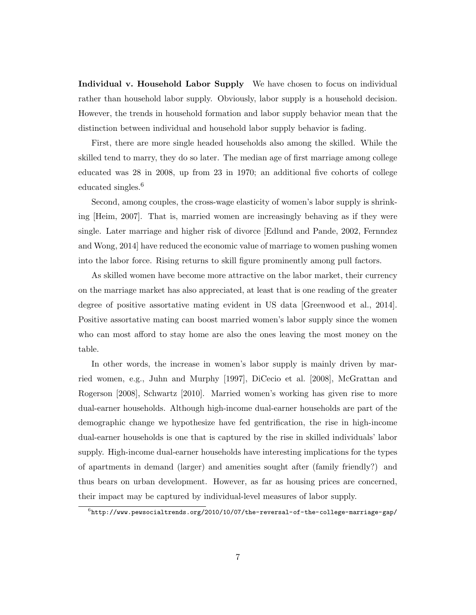**Individual v. Household Labor Supply** We have chosen to focus on individual rather than household labor supply. Obviously, labor supply is a household decision. However, the trends in household formation and labor supply behavior mean that the distinction between individual and household labor supply behavior is fading.

First, there are more single headed households also among the skilled. While the skilled tend to marry, they do so later. The median age of first marriage among college educated was 28 in 2008, up from 23 in 1970; an additional five cohorts of college educated singles.<sup>6</sup>

Second, among couples, the cross-wage elasticity of women's labor supply is shrinking [Heim, 2007]. That is, married women are increasingly behaving as if they were single. Later marriage and higher risk of divorce [Edlund and Pande, 2002, Fernndez and Wong, 2014] have reduced the economic value of marriage to women pushing women into the labor force. Rising returns to skill figure prominently among pull factors.

As skilled women have become more attractive on the labor market, their currency on the marriage market has also appreciated, at least that is one reading of the greater degree of positive assortative mating evident in US data [Greenwood et al., 2014]. Positive assortative mating can boost married women's labor supply since the women who can most afford to stay home are also the ones leaving the most money on the table.

In other words, the increase in women's labor supply is mainly driven by married women, e.g., Juhn and Murphy [1997], DiCecio et al. [2008], McGrattan and Rogerson [2008], Schwartz [2010]. Married women's working has given rise to more dual-earner households. Although high-income dual-earner households are part of the demographic change we hypothesize have fed gentrification, the rise in high-income dual-earner households is one that is captured by the rise in skilled individuals' labor supply. High-income dual-earner households have interesting implications for the types of apartments in demand (larger) and amenities sought after (family friendly?) and thus bears on urban development. However, as far as housing prices are concerned, their impact may be captured by individual-level measures of labor supply.

 $^6$ http://www.pewsocialtrends.org/2010/10/07/the-reversal-of-the-college-marriage-gap/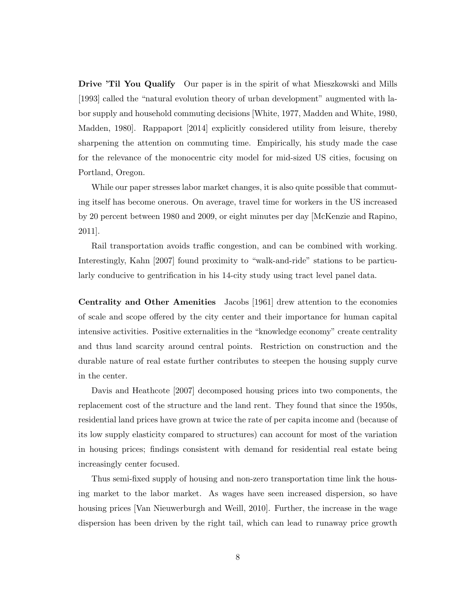**Drive 'Til You Qualify** Our paper is in the spirit of what Mieszkowski and Mills [1993] called the "natural evolution theory of urban development" augmented with labor supply and household commuting decisions [White, 1977, Madden and White, 1980, Madden, 1980]. Rappaport [2014] explicitly considered utility from leisure, thereby sharpening the attention on commuting time. Empirically, his study made the case for the relevance of the monocentric city model for mid-sized US cities, focusing on Portland, Oregon.

While our paper stresses labor market changes, it is also quite possible that commuting itself has become onerous. On average, travel time for workers in the US increased by 20 percent between 1980 and 2009, or eight minutes per day [McKenzie and Rapino, 2011].

Rail transportation avoids traffic congestion, and can be combined with working. Interestingly, Kahn [2007] found proximity to "walk-and-ride" stations to be particularly conducive to gentrification in his 14-city study using tract level panel data.

**Centrality and Other Amenities** Jacobs [1961] drew attention to the economies of scale and scope offered by the city center and their importance for human capital intensive activities. Positive externalities in the "knowledge economy" create centrality and thus land scarcity around central points. Restriction on construction and the durable nature of real estate further contributes to steepen the housing supply curve in the center.

Davis and Heathcote [2007] decomposed housing prices into two components, the replacement cost of the structure and the land rent. They found that since the 1950s, residential land prices have grown at twice the rate of per capita income and (because of its low supply elasticity compared to structures) can account for most of the variation in housing prices; findings consistent with demand for residential real estate being increasingly center focused.

Thus semi-fixed supply of housing and non-zero transportation time link the housing market to the labor market. As wages have seen increased dispersion, so have housing prices [Van Nieuwerburgh and Weill, 2010]. Further, the increase in the wage dispersion has been driven by the right tail, which can lead to runaway price growth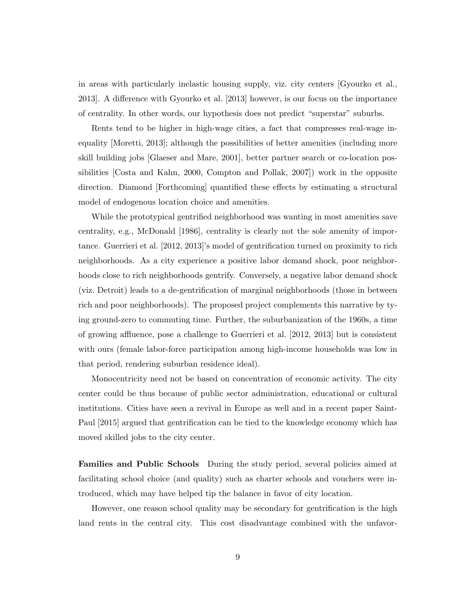in areas with particularly inelastic housing supply, viz. city centers [Gyourko et al., 2013]. A difference with Gyourko et al. [2013] however, is our focus on the importance of centrality. In other words, our hypothesis does not predict "superstar" suburbs.

Rents tend to be higher in high-wage cities, a fact that compresses real-wage inequality [Moretti, 2013]; although the possibilities of better amenities (including more skill building jobs [Glaeser and Mare, 2001], better partner search or co-location possibilities [Costa and Kahn, 2000, Compton and Pollak, 2007]) work in the opposite direction. Diamond [Forthcoming] quantified these effects by estimating a structural model of endogenous location choice and amenities.

While the prototypical gentrified neighborhood was wanting in most amenities save centrality, e.g., McDonald [1986], centrality is clearly not the sole amenity of importance. Guerrieri et al. [2012, 2013]'s model of gentrification turned on proximity to rich neighborhoods. As a city experience a positive labor demand shock, poor neighborhoods close to rich neighborhoods gentrify. Conversely, a negative labor demand shock (viz. Detroit) leads to a de-gentrification of marginal neighborhoods (those in between rich and poor neighborhoods). The proposed project complements this narrative by tying ground-zero to commuting time. Further, the suburbanization of the 1960s, a time of growing affluence, pose a challenge to Guerrieri et al. [2012, 2013] but is consistent with ours (female labor-force participation among high-income households was low in that period, rendering suburban residence ideal).

Monocentricity need not be based on concentration of economic activity. The city center could be thus because of public sector administration, educational or cultural institutions. Cities have seen a revival in Europe as well and in a recent paper Saint-Paul [2015] argued that gentrification can be tied to the knowledge economy which has moved skilled jobs to the city center.

**Families and Public Schools** During the study period, several policies aimed at facilitating school choice (and quality) such as charter schools and vouchers were introduced, which may have helped tip the balance in favor of city location.

However, one reason school quality may be secondary for gentrification is the high land rents in the central city. This cost disadvantage combined with the unfavor-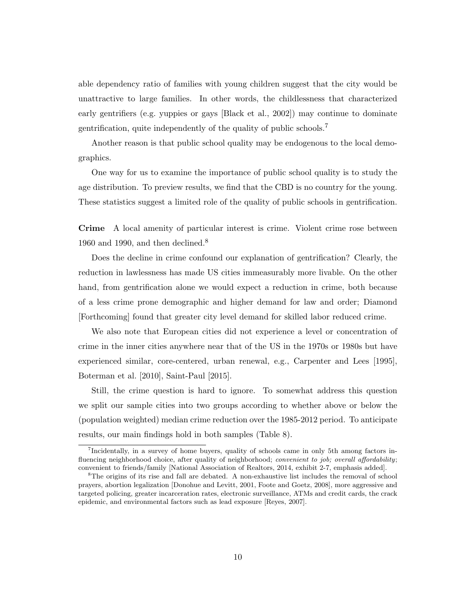able dependency ratio of families with young children suggest that the city would be unattractive to large families. In other words, the childlessness that characterized early gentrifiers (e.g. yuppies or gays [Black et al., 2002]) may continue to dominate gentrification, quite independently of the quality of public schools.<sup>7</sup>

Another reason is that public school quality may be endogenous to the local demographics.

One way for us to examine the importance of public school quality is to study the age distribution. To preview results, we find that the CBD is no country for the young. These statistics suggest a limited role of the quality of public schools in gentrification.

**Crime** A local amenity of particular interest is crime. Violent crime rose between 1960 and 1990, and then declined. $8$ 

Does the decline in crime confound our explanation of gentrification? Clearly, the reduction in lawlessness has made US cities immeasurably more livable. On the other hand, from gentrification alone we would expect a reduction in crime, both because of a less crime prone demographic and higher demand for law and order; Diamond [Forthcoming] found that greater city level demand for skilled labor reduced crime.

We also note that European cities did not experience a level or concentration of crime in the inner cities anywhere near that of the US in the 1970s or 1980s but have experienced similar, core-centered, urban renewal, e.g., Carpenter and Lees [1995], Boterman et al. [2010], Saint-Paul [2015].

Still, the crime question is hard to ignore. To somewhat address this question we split our sample cities into two groups according to whether above or below the (population weighted) median crime reduction over the 1985-2012 period. To anticipate results, our main findings hold in both samples (Table 8).

<sup>7</sup> Incidentally, in a survey of home buyers, quality of schools came in only 5th among factors influencing neighborhood choice, after quality of neighborhood; *convenient to job; overall affordability*; convenient to friends/family [National Association of Realtors, 2014, exhibit 2-7, emphasis added].

<sup>8</sup>The origins of its rise and fall are debated. A non-exhaustive list includes the removal of school prayers, abortion legalization [Donohue and Levitt, 2001, Foote and Goetz, 2008], more aggressive and targeted policing, greater incarceration rates, electronic surveillance, ATMs and credit cards, the crack epidemic, and environmental factors such as lead exposure [Reyes, 2007].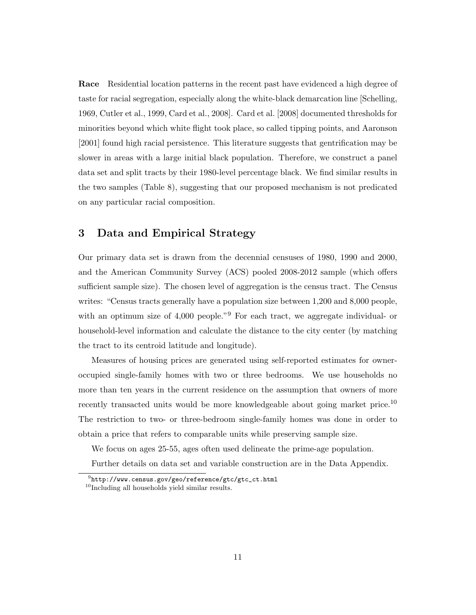**Race** Residential location patterns in the recent past have evidenced a high degree of taste for racial segregation, especially along the white-black demarcation line [Schelling, 1969, Cutler et al., 1999, Card et al., 2008]. Card et al. [2008] documented thresholds for minorities beyond which white flight took place, so called tipping points, and Aaronson [2001] found high racial persistence. This literature suggests that gentrification may be slower in areas with a large initial black population. Therefore, we construct a panel data set and split tracts by their 1980-level percentage black. We find similar results in the two samples (Table 8), suggesting that our proposed mechanism is not predicated on any particular racial composition.

### **3 Data and Empirical Strategy**

Our primary data set is drawn from the decennial censuses of 1980, 1990 and 2000, and the American Community Survey (ACS) pooled 2008-2012 sample (which offers sufficient sample size). The chosen level of aggregation is the census tract. The Census writes: "Census tracts generally have a population size between 1,200 and 8,000 people, with an optimum size of 4,000 people."<sup>9</sup> For each tract, we aggregate individual- or household-level information and calculate the distance to the city center (by matching the tract to its centroid latitude and longitude).

Measures of housing prices are generated using self-reported estimates for owneroccupied single-family homes with two or three bedrooms. We use households no more than ten years in the current residence on the assumption that owners of more recently transacted units would be more knowledgeable about going market price.<sup>10</sup> The restriction to two- or three-bedroom single-family homes was done in order to obtain a price that refers to comparable units while preserving sample size.

We focus on ages 25-55, ages often used delineate the prime-age population.

Further details on data set and variable construction are in the Data Appendix.

 $^9$ http://www.census.gov/geo/reference/gtc/gtc\_ct.html

 $10$ Including all households yield similar results.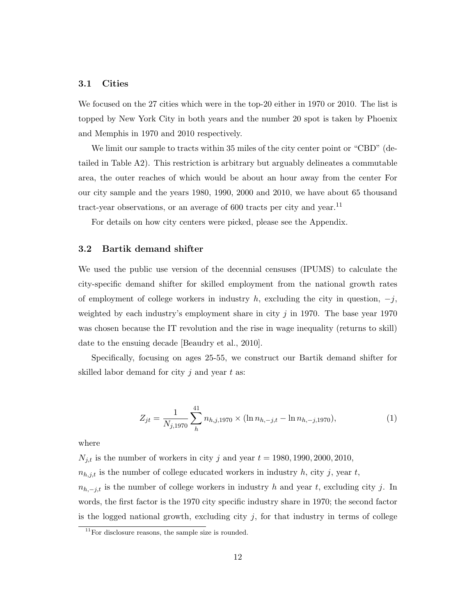#### **3.1 Cities**

We focused on the 27 cities which were in the top-20 either in 1970 or 2010. The list is topped by New York City in both years and the number 20 spot is taken by Phoenix and Memphis in 1970 and 2010 respectively.

We limit our sample to tracts within 35 miles of the city center point or "CBD" (detailed in Table A2). This restriction is arbitrary but arguably delineates a commutable area, the outer reaches of which would be about an hour away from the center For our city sample and the years 1980, 1990, 2000 and 2010, we have about 65 thousand tract-year observations, or an average of 600 tracts per city and year.<sup>11</sup>

For details on how city centers were picked, please see the Appendix.

#### **3.2 Bartik demand shifter**

We used the public use version of the decennial censuses (IPUMS) to calculate the city-specific demand shifter for skilled employment from the national growth rates of employment of college workers in industry *h*, excluding the city in question, *−j*, weighted by each industry's employment share in city *j* in 1970. The base year 1970 was chosen because the IT revolution and the rise in wage inequality (returns to skill) date to the ensuing decade [Beaudry et al., 2010].

Specifically, focusing on ages 25-55, we construct our Bartik demand shifter for skilled labor demand for city *j* and year *t* as:

$$
Z_{jt} = \frac{1}{N_{j,1970}} \sum_{h}^{41} n_{h,j,1970} \times (\ln n_{h,-j,t} - \ln n_{h,-j,1970}), \tag{1}
$$

where

 $N_{j,t}$  is the number of workers in city *j* and year  $t = 1980, 1990, 2000, 2010$ ,

 $n_{h,j,t}$  is the number of college educated workers in industry  $h$ , city  $j$ , year  $t$ ,

*n*<sub>*h−j*,*t* is the number of college workers in industry *h* and year *t*, excluding city *j*. In</sub> words, the first factor is the 1970 city specific industry share in 1970; the second factor is the logged national growth, excluding city  $j$ , for that industry in terms of college

 $11$ For disclosure reasons, the sample size is rounded.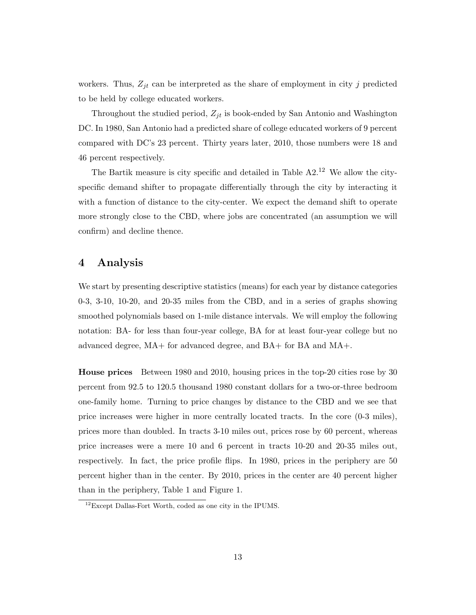workers. Thus,  $Z_{jt}$  can be interpreted as the share of employment in city  $j$  predicted to be held by college educated workers.

Throughout the studied period, *Zjt* is book-ended by San Antonio and Washington DC. In 1980, San Antonio had a predicted share of college educated workers of 9 percent compared with DC's 23 percent. Thirty years later, 2010, those numbers were 18 and 46 percent respectively.

The Bartik measure is city specific and detailed in Table  $A2<sup>12</sup>$  We allow the cityspecific demand shifter to propagate differentially through the city by interacting it with a function of distance to the city-center. We expect the demand shift to operate more strongly close to the CBD, where jobs are concentrated (an assumption we will confirm) and decline thence.

### **4 Analysis**

We start by presenting descriptive statistics (means) for each year by distance categories 0-3, 3-10, 10-20, and 20-35 miles from the CBD, and in a series of graphs showing smoothed polynomials based on 1-mile distance intervals. We will employ the following notation: BA- for less than four-year college, BA for at least four-year college but no advanced degree, MA+ for advanced degree, and BA+ for BA and MA+.

**House prices** Between 1980 and 2010, housing prices in the top-20 cities rose by 30 percent from 92.5 to 120.5 thousand 1980 constant dollars for a two-or-three bedroom one-family home. Turning to price changes by distance to the CBD and we see that price increases were higher in more centrally located tracts. In the core (0-3 miles), prices more than doubled. In tracts 3-10 miles out, prices rose by 60 percent, whereas price increases were a mere 10 and 6 percent in tracts 10-20 and 20-35 miles out, respectively. In fact, the price profile flips. In 1980, prices in the periphery are 50 percent higher than in the center. By 2010, prices in the center are 40 percent higher than in the periphery, Table 1 and Figure 1.

<sup>12</sup>Except Dallas-Fort Worth, coded as one city in the IPUMS.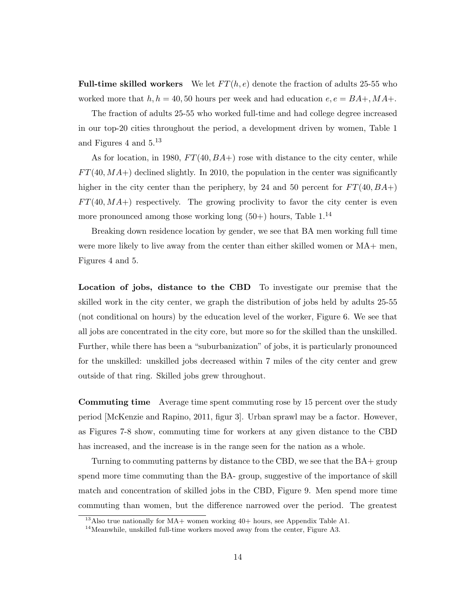**Full-time skilled workers** We let  $FT(h, e)$  denote the fraction of adults 25-55 who worked more that  $h, h = 40, 50$  hours per week and had education  $e, e = BA + M A +$ .

The fraction of adults 25-55 who worked full-time and had college degree increased in our top-20 cities throughout the period, a development driven by women, Table 1 and Figures 4 and 5.<sup>13</sup>

As for location, in 1980, *F T*(40*, BA*+) rose with distance to the city center, while  $FT(40, MA+)$  declined slightly. In 2010, the population in the center was significantly higher in the city center than the periphery, by 24 and 50 percent for  $FT(40, BA+)$ *F T*(40*, MA*+) respectively. The growing proclivity to favor the city center is even more pronounced among those working long  $(50+)$  hours, Table  $1.^{14}$ 

Breaking down residence location by gender, we see that BA men working full time were more likely to live away from the center than either skilled women or MA+ men, Figures 4 and 5.

**Location of jobs, distance to the CBD** To investigate our premise that the skilled work in the city center, we graph the distribution of jobs held by adults 25-55 (not conditional on hours) by the education level of the worker, Figure 6. We see that all jobs are concentrated in the city core, but more so for the skilled than the unskilled. Further, while there has been a "suburbanization" of jobs, it is particularly pronounced for the unskilled: unskilled jobs decreased within 7 miles of the city center and grew outside of that ring. Skilled jobs grew throughout.

**Commuting time** Average time spent commuting rose by 15 percent over the study period [McKenzie and Rapino, 2011, figur 3]. Urban sprawl may be a factor. However, as Figures 7-8 show, commuting time for workers at any given distance to the CBD has increased, and the increase is in the range seen for the nation as a whole.

Turning to commuting patterns by distance to the CBD, we see that the BA+ group spend more time commuting than the BA- group, suggestive of the importance of skill match and concentration of skilled jobs in the CBD, Figure 9. Men spend more time commuting than women, but the difference narrowed over the period. The greatest

 $^{13}$ Also true nationally for MA+ women working  $40+$  hours, see Appendix Table A1.

 $14$ Meanwhile, unskilled full-time workers moved away from the center, Figure A3.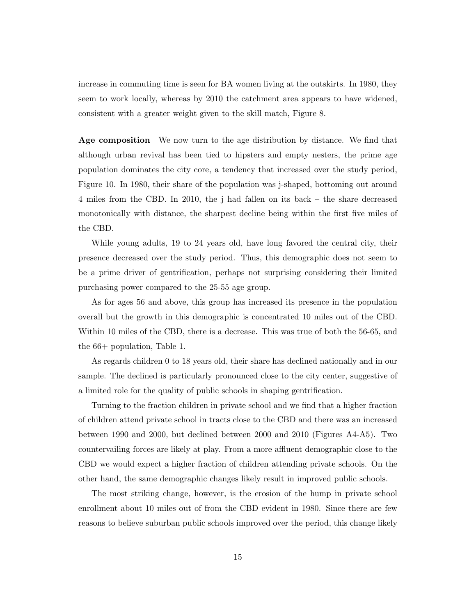increase in commuting time is seen for BA women living at the outskirts. In 1980, they seem to work locally, whereas by 2010 the catchment area appears to have widened, consistent with a greater weight given to the skill match, Figure 8.

**Age composition** We now turn to the age distribution by distance. We find that although urban revival has been tied to hipsters and empty nesters, the prime age population dominates the city core, a tendency that increased over the study period, Figure 10. In 1980, their share of the population was j-shaped, bottoming out around 4 miles from the CBD. In 2010, the j had fallen on its back – the share decreased monotonically with distance, the sharpest decline being within the first five miles of the CBD.

While young adults, 19 to 24 years old, have long favored the central city, their presence decreased over the study period. Thus, this demographic does not seem to be a prime driver of gentrification, perhaps not surprising considering their limited purchasing power compared to the 25-55 age group.

As for ages 56 and above, this group has increased its presence in the population overall but the growth in this demographic is concentrated 10 miles out of the CBD. Within 10 miles of the CBD, there is a decrease. This was true of both the 56-65, and the 66+ population, Table 1.

As regards children 0 to 18 years old, their share has declined nationally and in our sample. The declined is particularly pronounced close to the city center, suggestive of a limited role for the quality of public schools in shaping gentrification.

Turning to the fraction children in private school and we find that a higher fraction of children attend private school in tracts close to the CBD and there was an increased between 1990 and 2000, but declined between 2000 and 2010 (Figures A4-A5). Two countervailing forces are likely at play. From a more affluent demographic close to the CBD we would expect a higher fraction of children attending private schools. On the other hand, the same demographic changes likely result in improved public schools.

The most striking change, however, is the erosion of the hump in private school enrollment about 10 miles out of from the CBD evident in 1980. Since there are few reasons to believe suburban public schools improved over the period, this change likely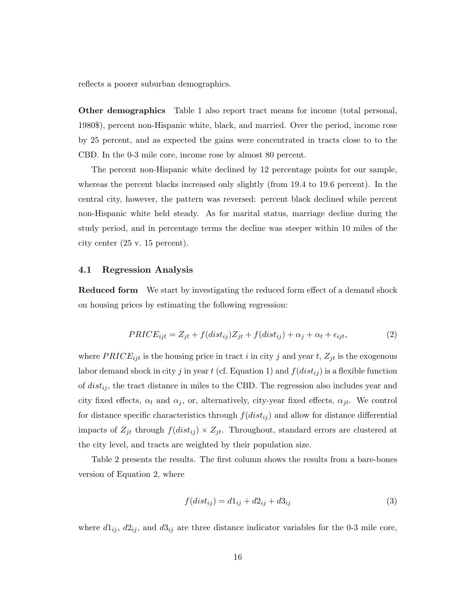reflects a poorer suburban demographics.

**Other demographics** Table 1 also report tract means for income (total personal, 1980\$), percent non-Hispanic white, black, and married. Over the period, income rose by 25 percent, and as expected the gains were concentrated in tracts close to to the CBD. In the 0-3 mile core, income rose by almost 80 percent.

The percent non-Hispanic white declined by 12 percentage points for our sample, whereas the percent blacks increased only slightly (from 19.4 to 19.6 percent). In the central city, however, the pattern was reversed: percent black declined while percent non-Hispanic white held steady. As for marital status, marriage decline during the study period, and in percentage terms the decline was steeper within 10 miles of the city center (25 v. 15 percent).

#### **4.1 Regression Analysis**

**Reduced form** We start by investigating the reduced form effect of a demand shock on housing prices by estimating the following regression:

$$
PRICE_{ijt} = Z_{jt} + f(dist_{ij})Z_{jt} + f(dist_{ij}) + \alpha_j + \alpha_t + \epsilon_{ijt},
$$
\n(2)

where  $PRICE_{ijt}$  is the housing price in tract *i* in city *j* and year *t*,  $Z_{jt}$  is the exogenous labor demand shock in city *j* in year *t* (cf. Equation 1) and  $f(dist_{ij})$  is a flexible function of *distij* , the tract distance in miles to the CBD. The regression also includes year and city fixed effects,  $\alpha_t$  and  $\alpha_j$ , or, alternatively, city-year fixed effects,  $\alpha_{jt}$ . We control for distance specific characteristics through  $f(dist_{ij})$  and allow for distance differential impacts of  $Z_{jt}$  through  $f(dist_{ij}) \times Z_{jt}$ . Throughout, standard errors are clustered at the city level, and tracts are weighted by their population size.

Table 2 presents the results. The first column shows the results from a bare-bones version of Equation 2, where

$$
f(dist_{ij}) = d1_{ij} + d2_{ij} + d3_{ij}
$$
\n(3)

where  $d1_{ij}$ ,  $d2_{ij}$ , and  $d3_{ij}$  are three distance indicator variables for the 0-3 mile core,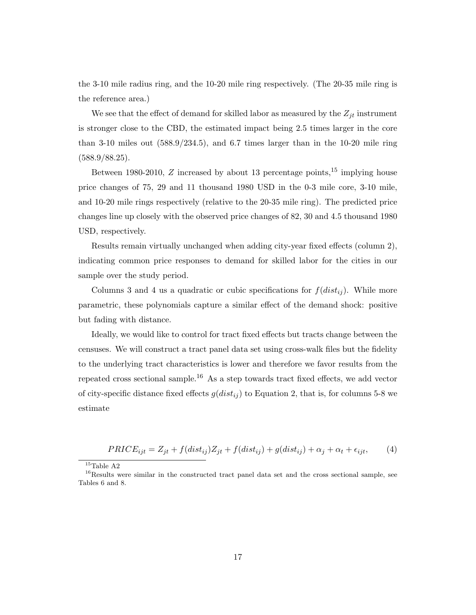the 3-10 mile radius ring, and the 10-20 mile ring respectively. (The 20-35 mile ring is the reference area.)

We see that the effect of demand for skilled labor as measured by the  $Z_{jt}$  instrument is stronger close to the CBD, the estimated impact being 2.5 times larger in the core than 3-10 miles out  $(588.9/234.5)$ , and 6.7 times larger than in the 10-20 mile ring  $(588.9/88.25).$ 

Between 1980-2010,  $Z$  increased by about 13 percentage points,  $15$  implying house price changes of 75, 29 and 11 thousand 1980 USD in the 0-3 mile core, 3-10 mile, and 10-20 mile rings respectively (relative to the 20-35 mile ring). The predicted price changes line up closely with the observed price changes of 82, 30 and 4.5 thousand 1980 USD, respectively.

Results remain virtually unchanged when adding city-year fixed effects (column 2), indicating common price responses to demand for skilled labor for the cities in our sample over the study period.

Columns 3 and 4 us a quadratic or cubic specifications for  $f(dist_{ij})$ . While more parametric, these polynomials capture a similar effect of the demand shock: positive but fading with distance.

Ideally, we would like to control for tract fixed effects but tracts change between the censuses. We will construct a tract panel data set using cross-walk files but the fidelity to the underlying tract characteristics is lower and therefore we favor results from the repeated cross sectional sample.<sup>16</sup> As a step towards tract fixed effects, we add vector of city-specific distance fixed effects  $g(dist_{ij})$  to Equation 2, that is, for columns 5-8 we estimate

$$
PRICE_{ijt} = Z_{jt} + f(dist_{ij})Z_{jt} + f(dist_{ij}) + g(dist_{ij}) + \alpha_j + \alpha_t + \epsilon_{ijt},
$$
 (4)

 $^{15}\mathrm{Table}$  A2

<sup>&</sup>lt;sup>16</sup>Results were similar in the constructed tract panel data set and the cross sectional sample, see Tables 6 and 8.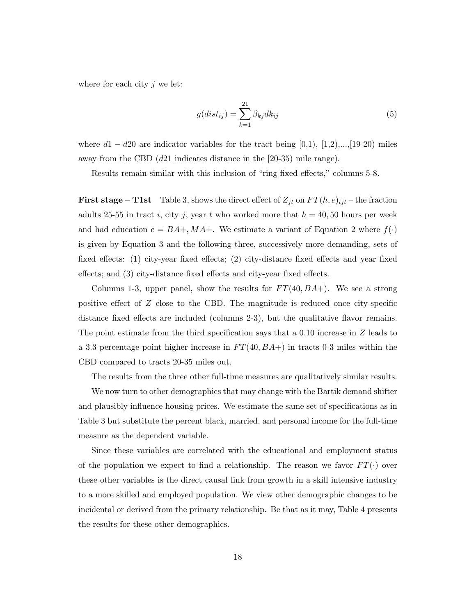where for each city *j* we let:

$$
g(dist_{ij}) = \sum_{k=1}^{21} \beta_{kj} dk_{ij}
$$
\n
$$
(5)
$$

where  $d1 - d20$  are indicator variables for the tract being  $[0,1)$ ,  $[1,2)$ ,..., [19-20) miles away from the CBD (*d*21 indicates distance in the [20-35) mile range).

Results remain similar with this inclusion of "ring fixed effects," columns 5-8.

**First stage – T1st** Table 3, shows the direct effect of  $Z_{jt}$  on  $FT(h, e)_{ijt}$  – the fraction adults 25-55 in tract *i*, city *j*, year *t* who worked more that  $h = 40, 50$  hours per week and had education  $e = BA +, MA +$ . We estimate a variant of Equation 2 where  $f(\cdot)$ is given by Equation 3 and the following three, successively more demanding, sets of fixed effects: (1) city-year fixed effects; (2) city-distance fixed effects and year fixed effects; and (3) city-distance fixed effects and city-year fixed effects.

Columns 1-3, upper panel, show the results for *F T*(40*, BA*+). We see a strong positive effect of *Z* close to the CBD. The magnitude is reduced once city-specific distance fixed effects are included (columns 2-3), but the qualitative flavor remains. The point estimate from the third specification says that a 0.10 increase in *Z* leads to a 3.3 percentage point higher increase in *F T*(40*, BA*+) in tracts 0-3 miles within the CBD compared to tracts 20-35 miles out.

The results from the three other full-time measures are qualitatively similar results.

We now turn to other demographics that may change with the Bartik demand shifter and plausibly influence housing prices. We estimate the same set of specifications as in Table 3 but substitute the percent black, married, and personal income for the full-time measure as the dependent variable.

Since these variables are correlated with the educational and employment status of the population we expect to find a relationship. The reason we favor  $FT(\cdot)$  over these other variables is the direct causal link from growth in a skill intensive industry to a more skilled and employed population. We view other demographic changes to be incidental or derived from the primary relationship. Be that as it may, Table 4 presents the results for these other demographics.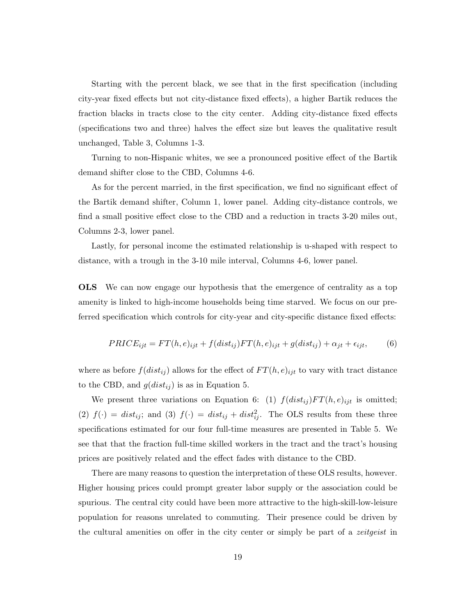Starting with the percent black, we see that in the first specification (including city-year fixed effects but not city-distance fixed effects), a higher Bartik reduces the fraction blacks in tracts close to the city center. Adding city-distance fixed effects (specifications two and three) halves the effect size but leaves the qualitative result unchanged, Table 3, Columns 1-3.

Turning to non-Hispanic whites, we see a pronounced positive effect of the Bartik demand shifter close to the CBD, Columns 4-6.

As for the percent married, in the first specification, we find no significant effect of the Bartik demand shifter, Column 1, lower panel. Adding city-distance controls, we find a small positive effect close to the CBD and a reduction in tracts 3-20 miles out, Columns 2-3, lower panel.

Lastly, for personal income the estimated relationship is u-shaped with respect to distance, with a trough in the 3-10 mile interval, Columns 4-6, lower panel.

**OLS** We can now engage our hypothesis that the emergence of centrality as a top amenity is linked to high-income households being time starved. We focus on our preferred specification which controls for city-year and city-specific distance fixed effects:

$$
PRICE_{ijt} = FT(h, e)_{ijt} + f(dist_{ij})FT(h, e)_{ijt} + g(dist_{ij}) + \alpha_{jt} + \epsilon_{ijt},
$$
(6)

where as before  $f(dist_{ij})$  allows for the effect of  $FT(h, e)_{ijt}$  to vary with tract distance to the CBD, and  $g(dist_{ij})$  is as in Equation 5.

We present three variations on Equation 6: (1)  $f(dist_{ij})FT(h, e)_{ijt}$  is omitted; (2)  $f(\cdot) = dist_{ij}$ ; and (3)  $f(\cdot) = dist_{ij} + dist_{ij}^2$ . The OLS results from these three specifications estimated for our four full-time measures are presented in Table 5. We see that that the fraction full-time skilled workers in the tract and the tract's housing prices are positively related and the effect fades with distance to the CBD.

There are many reasons to question the interpretation of these OLS results, however. Higher housing prices could prompt greater labor supply or the association could be spurious. The central city could have been more attractive to the high-skill-low-leisure population for reasons unrelated to commuting. Their presence could be driven by the cultural amenities on offer in the city center or simply be part of a *zeitgeist* in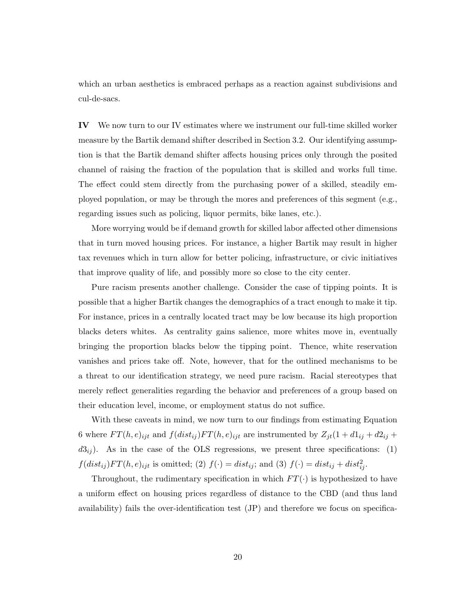which an urban aesthetics is embraced perhaps as a reaction against subdivisions and cul-de-sacs.

**IV** We now turn to our IV estimates where we instrument our full-time skilled worker measure by the Bartik demand shifter described in Section 3.2. Our identifying assumption is that the Bartik demand shifter affects housing prices only through the posited channel of raising the fraction of the population that is skilled and works full time. The effect could stem directly from the purchasing power of a skilled, steadily employed population, or may be through the mores and preferences of this segment (e.g., regarding issues such as policing, liquor permits, bike lanes, etc.).

More worrying would be if demand growth for skilled labor affected other dimensions that in turn moved housing prices. For instance, a higher Bartik may result in higher tax revenues which in turn allow for better policing, infrastructure, or civic initiatives that improve quality of life, and possibly more so close to the city center.

Pure racism presents another challenge. Consider the case of tipping points. It is possible that a higher Bartik changes the demographics of a tract enough to make it tip. For instance, prices in a centrally located tract may be low because its high proportion blacks deters whites. As centrality gains salience, more whites move in, eventually bringing the proportion blacks below the tipping point. Thence, white reservation vanishes and prices take off. Note, however, that for the outlined mechanisms to be a threat to our identification strategy, we need pure racism. Racial stereotypes that merely reflect generalities regarding the behavior and preferences of a group based on their education level, income, or employment status do not suffice.

With these caveats in mind, we now turn to our findings from estimating Equation 6 where  $FT(h, e)_{ijt}$  and  $f(dist_{ij})FT(h, e)_{ijt}$  are instrumented by  $Z_{jt}(1 + d1_{ij} + d2_{ij} + d3_{ij} + d4_{ij} + d4_{ij} + d5_{ij} + d5_{ij} + d6_{ij} + d7_{ij} + d8_{ij} + d8_{ij} + d7_{ij} + d8_{ij} + d8_{ij} + d7_{ij} + d8_{ij} + d8_{ij}$  $d3_{ij}$ ). As in the case of the OLS regressions, we present three specifications: (1)  $f(dist_{ij})FT(h, e)_{ijt}$  is omitted; (2)  $f(\cdot) = dist_{ij}$ ; and (3)  $f(\cdot) = dist_{ij} + dist_{ij}^2$ .

Throughout, the rudimentary specification in which  $FT(\cdot)$  is hypothesized to have a uniform effect on housing prices regardless of distance to the CBD (and thus land availability) fails the over-identification test (JP) and therefore we focus on specifica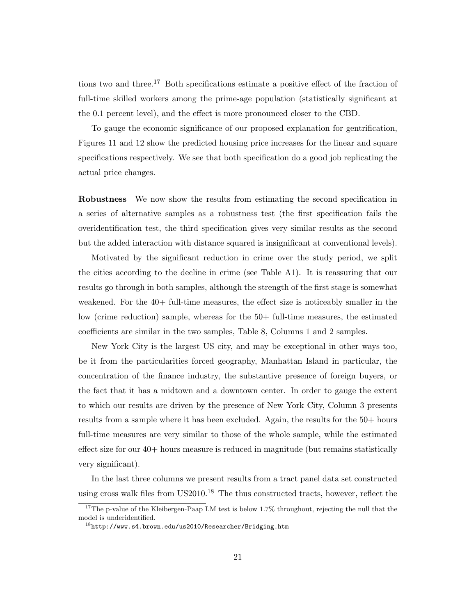tions two and three.<sup>17</sup> Both specifications estimate a positive effect of the fraction of full-time skilled workers among the prime-age population (statistically significant at the 0.1 percent level), and the effect is more pronounced closer to the CBD.

To gauge the economic significance of our proposed explanation for gentrification, Figures 11 and 12 show the predicted housing price increases for the linear and square specifications respectively. We see that both specification do a good job replicating the actual price changes.

**Robustness** We now show the results from estimating the second specification in a series of alternative samples as a robustness test (the first specification fails the overidentification test, the third specification gives very similar results as the second but the added interaction with distance squared is insignificant at conventional levels).

Motivated by the significant reduction in crime over the study period, we split the cities according to the decline in crime (see Table A1). It is reassuring that our results go through in both samples, although the strength of the first stage is somewhat weakened. For the 40+ full-time measures, the effect size is noticeably smaller in the low (crime reduction) sample, whereas for the  $50+$  full-time measures, the estimated coefficients are similar in the two samples, Table 8, Columns 1 and 2 samples.

New York City is the largest US city, and may be exceptional in other ways too, be it from the particularities forced geography, Manhattan Island in particular, the concentration of the finance industry, the substantive presence of foreign buyers, or the fact that it has a midtown and a downtown center. In order to gauge the extent to which our results are driven by the presence of New York City, Column 3 presents results from a sample where it has been excluded. Again, the results for the 50+ hours full-time measures are very similar to those of the whole sample, while the estimated effect size for our 40+ hours measure is reduced in magnitude (but remains statistically very significant).

In the last three columns we present results from a tract panel data set constructed using cross walk files from  $US2010$ .<sup>18</sup> The thus constructed tracts, however, reflect the

<sup>&</sup>lt;sup>17</sup>The p-value of the Kleibergen-Paap LM test is below 1.7% throughout, rejecting the null that the model is underidentified.

 $^{18}$ http://www.s $4.$ brown.edu/us2010/Researcher/Bridging.htm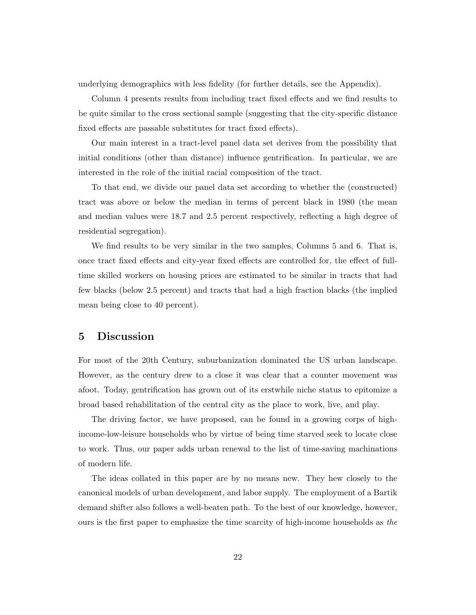underlying demographics with less fidelity (for further details, see the Appendix).

Column 4 presents results from including tract fixed effects and we find results to be quite similar to the cross sectional sample (suggesting that the city-specific distance fixed effects are passable substitutes for tract fixed effects).

Our main interest in a tract-level panel data set derives from the possibility that initial conditions (other than distance) influence gentrification. In particular, we are interested in the role of the initial racial composition of the tract.

To that end, we divide our panel data set according to whether the (constructed) tract was above or below the median in terms of percent black in 1980 (the mean and median values were 18.7 and 2.5 percent respectively, reflecting a high degree of residential segregation).

We find results to be very similar in the two samples, Columns 5 and 6. That is, once tract fixed effects and city-year fixed effects are controlled for, the effect of fulltime skilled workers on housing prices are estimated to be similar in tracts that had few blacks (below 2.5 percent) and tracts that had a high fraction blacks (the implied mean being close to 40 percent).

### **5 Discussion**

For most of the 20th Century, suburbanization dominated the US urban landscape. However, as the century drew to a close it was clear that a counter movement was afoot. Today, gentrification has grown out of its erstwhile niche status to epitomize a broad based rehabilitation of the central city as the place to work, live, and play.

The driving factor, we have proposed, can be found in a growing corps of highincome-low-leisure households who by virtue of being time starved seek to locate close to work. Thus, our paper adds urban renewal to the list of time-saving machinations of modern life.

The ideas collated in this paper are by no means new. They hew closely to the canonical models of urban development, and labor supply. The employment of a Bartik demand shifter also follows a well-beaten path. To the best of our knowledge, however, ours is the first paper to emphasize the time scarcity of high-income households as *the*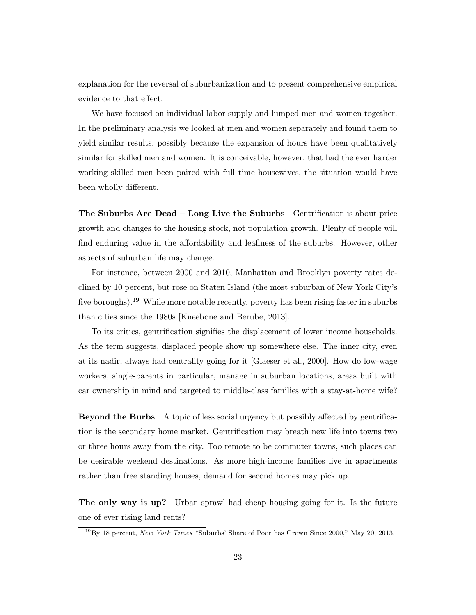explanation for the reversal of suburbanization and to present comprehensive empirical evidence to that effect.

We have focused on individual labor supply and lumped men and women together. In the preliminary analysis we looked at men and women separately and found them to yield similar results, possibly because the expansion of hours have been qualitatively similar for skilled men and women. It is conceivable, however, that had the ever harder working skilled men been paired with full time housewives, the situation would have been wholly different.

**The Suburbs Are Dead – Long Live the Suburbs** Gentrification is about price growth and changes to the housing stock, not population growth. Plenty of people will find enduring value in the affordability and leafiness of the suburbs. However, other aspects of suburban life may change.

For instance, between 2000 and 2010, Manhattan and Brooklyn poverty rates declined by 10 percent, but rose on Staten Island (the most suburban of New York City's five boroughs).<sup>19</sup> While more notable recently, poverty has been rising faster in suburbs than cities since the 1980s [Kneebone and Berube, 2013].

To its critics, gentrification signifies the displacement of lower income households. As the term suggests, displaced people show up somewhere else. The inner city, even at its nadir, always had centrality going for it [Glaeser et al., 2000]. How do low-wage workers, single-parents in particular, manage in suburban locations, areas built with car ownership in mind and targeted to middle-class families with a stay-at-home wife?

**Beyond the Burbs** A topic of less social urgency but possibly affected by gentrification is the secondary home market. Gentrification may breath new life into towns two or three hours away from the city. Too remote to be commuter towns, such places can be desirable weekend destinations. As more high-income families live in apartments rather than free standing houses, demand for second homes may pick up.

**The only way is up?** Urban sprawl had cheap housing going for it. Is the future one of ever rising land rents?

<sup>19</sup>By 18 percent, *New York Times* "Suburbs' Share of Poor has Grown Since 2000," May 20, 2013.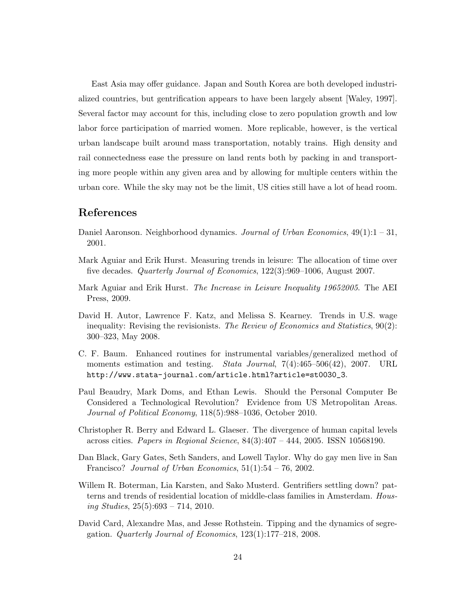East Asia may offer guidance. Japan and South Korea are both developed industrialized countries, but gentrification appears to have been largely absent [Waley, 1997]. Several factor may account for this, including close to zero population growth and low labor force participation of married women. More replicable, however, is the vertical urban landscape built around mass transportation, notably trains. High density and rail connectedness ease the pressure on land rents both by packing in and transporting more people within any given area and by allowing for multiple centers within the urban core. While the sky may not be the limit, US cities still have a lot of head room.

### **References**

- Daniel Aaronson. Neighborhood dynamics. *Journal of Urban Economics*, 49(1):1 31, 2001.
- Mark Aguiar and Erik Hurst. Measuring trends in leisure: The allocation of time over five decades. *Quarterly Journal of Economics*, 122(3):969–1006, August 2007.
- Mark Aguiar and Erik Hurst. *The Increase in Leisure Inequality 19652005*. The AEI Press, 2009.
- David H. Autor, Lawrence F. Katz, and Melissa S. Kearney. Trends in U.S. wage inequality: Revising the revisionists. *The Review of Economics and Statistics*, 90(2): 300–323, May 2008.
- C. F. Baum. Enhanced routines for instrumental variables/generalized method of moments estimation and testing. *Stata Journal*, 7(4):465–506(42), 2007. URL http://www.stata-journal.com/article.html?article=st0030\_3.
- Paul Beaudry, Mark Doms, and Ethan Lewis. Should the Personal Computer Be Considered a Technological Revolution? Evidence from US Metropolitan Areas. *Journal of Political Economy*, 118(5):988–1036, October 2010.
- Christopher R. Berry and Edward L. Glaeser. The divergence of human capital levels across cities. *Papers in Regional Science*, 84(3):407 – 444, 2005. ISSN 10568190.
- Dan Black, Gary Gates, Seth Sanders, and Lowell Taylor. Why do gay men live in San Francisco? *Journal of Urban Economics*, 51(1):54 – 76, 2002.
- Willem R. Boterman, Lia Karsten, and Sako Musterd. Gentrifiers settling down? patterns and trends of residential location of middle-class families in Amsterdam. *Housing Studies*, 25(5):693 – 714, 2010.
- David Card, Alexandre Mas, and Jesse Rothstein. Tipping and the dynamics of segregation. *Quarterly Journal of Economics*, 123(1):177–218, 2008.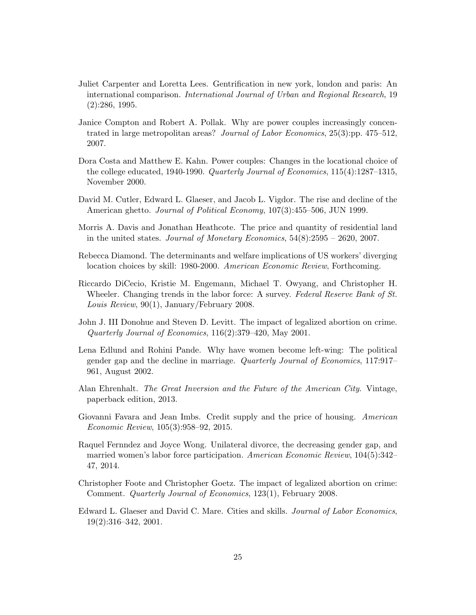- Juliet Carpenter and Loretta Lees. Gentrification in new york, london and paris: An international comparison. *International Journal of Urban and Regional Research*, 19 (2):286, 1995.
- Janice Compton and Robert A. Pollak. Why are power couples increasingly concentrated in large metropolitan areas? *Journal of Labor Economics*, 25(3):pp. 475–512, 2007.
- Dora Costa and Matthew E. Kahn. Power couples: Changes in the locational choice of the college educated, 1940-1990. *Quarterly Journal of Economics*, 115(4):1287–1315, November 2000.
- David M. Cutler, Edward L. Glaeser, and Jacob L. Vigdor. The rise and decline of the American ghetto. *Journal of Political Economy*, 107(3):455–506, JUN 1999.
- Morris A. Davis and Jonathan Heathcote. The price and quantity of residential land in the united states. *Journal of Monetary Economics*, 54(8):2595 – 2620, 2007.
- Rebecca Diamond. The determinants and welfare implications of US workers' diverging location choices by skill: 1980-2000. *American Economic Review*, Forthcoming.
- Riccardo DiCecio, Kristie M. Engemann, Michael T. Owyang, and Christopher H. Wheeler. Changing trends in the labor force: A survey. *Federal Reserve Bank of St. Louis Review*, 90(1), January/February 2008.
- John J. III Donohue and Steven D. Levitt. The impact of legalized abortion on crime. *Quarterly Journal of Economics*, 116(2):379–420, May 2001.
- Lena Edlund and Rohini Pande. Why have women become left-wing: The political gender gap and the decline in marriage. *Quarterly Journal of Economics*, 117:917– 961, August 2002.
- Alan Ehrenhalt. *The Great Inversion and the Future of the American City*. Vintage, paperback edition, 2013.
- Giovanni Favara and Jean Imbs. Credit supply and the price of housing. *American Economic Review*, 105(3):958–92, 2015.
- Raquel Fernndez and Joyce Wong. Unilateral divorce, the decreasing gender gap, and married women's labor force participation. *American Economic Review*, 104(5):342– 47, 2014.
- Christopher Foote and Christopher Goetz. The impact of legalized abortion on crime: Comment. *Quarterly Journal of Economics*, 123(1), February 2008.
- Edward L. Glaeser and David C. Mare. Cities and skills. *Journal of Labor Economics*, 19(2):316–342, 2001.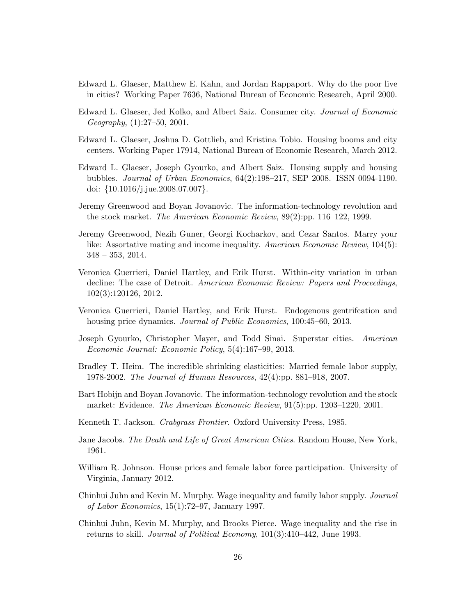- Edward L. Glaeser, Matthew E. Kahn, and Jordan Rappaport. Why do the poor live in cities? Working Paper 7636, National Bureau of Economic Research, April 2000.
- Edward L. Glaeser, Jed Kolko, and Albert Saiz. Consumer city. *Journal of Economic Geography*, (1):27–50, 2001.
- Edward L. Glaeser, Joshua D. Gottlieb, and Kristina Tobio. Housing booms and city centers. Working Paper 17914, National Bureau of Economic Research, March 2012.
- Edward L. Glaeser, Joseph Gyourko, and Albert Saiz. Housing supply and housing bubbles. *Journal of Urban Economics*, 64(2):198–217, SEP 2008. ISSN 0094-1190. doi: *{*10.1016/j.jue.2008.07.007*}*.
- Jeremy Greenwood and Boyan Jovanovic. The information-technology revolution and the stock market. *The American Economic Review*, 89(2):pp. 116–122, 1999.
- Jeremy Greenwood, Nezih Guner, Georgi Kocharkov, and Cezar Santos. Marry your like: Assortative mating and income inequality. *American Economic Review*, 104(5): 348 – 353, 2014.
- Veronica Guerrieri, Daniel Hartley, and Erik Hurst. Within-city variation in urban decline: The case of Detroit. *American Economic Review: Papers and Proceedings*, 102(3):120126, 2012.
- Veronica Guerrieri, Daniel Hartley, and Erik Hurst. Endogenous gentrifcation and housing price dynamics. *Journal of Public Economics*, 100:45–60, 2013.
- Joseph Gyourko, Christopher Mayer, and Todd Sinai. Superstar cities. *American Economic Journal: Economic Policy*, 5(4):167–99, 2013.
- Bradley T. Heim. The incredible shrinking elasticities: Married female labor supply, 1978-2002. *The Journal of Human Resources*, 42(4):pp. 881–918, 2007.
- Bart Hobijn and Boyan Jovanovic. The information-technology revolution and the stock market: Evidence. *The American Economic Review*, 91(5):pp. 1203–1220, 2001.
- Kenneth T. Jackson. *Crabgrass Frontier*. Oxford University Press, 1985.
- Jane Jacobs. *The Death and Life of Great American Cities*. Random House, New York, 1961.
- William R. Johnson. House prices and female labor force participation. University of Virginia, January 2012.
- Chinhui Juhn and Kevin M. Murphy. Wage inequality and family labor supply. *Journal of Labor Economics*, 15(1):72–97, January 1997.
- Chinhui Juhn, Kevin M. Murphy, and Brooks Pierce. Wage inequality and the rise in returns to skill. *Journal of Political Economy*, 101(3):410–442, June 1993.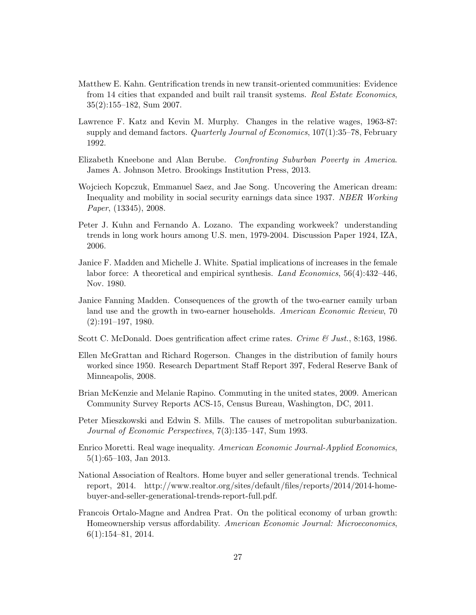- Matthew E. Kahn. Gentrification trends in new transit-oriented communities: Evidence from 14 cities that expanded and built rail transit systems. *Real Estate Economics*, 35(2):155–182, Sum 2007.
- Lawrence F. Katz and Kevin M. Murphy. Changes in the relative wages, 1963-87: supply and demand factors. *Quarterly Journal of Economics*, 107(1):35–78, February 1992.
- Elizabeth Kneebone and Alan Berube. *Confronting Suburban Poverty in America*. James A. Johnson Metro. Brookings Institution Press, 2013.
- Wojciech Kopczuk, Emmanuel Saez, and Jae Song. Uncovering the American dream: Inequality and mobility in social security earnings data since 1937. *NBER Working Paper*, (13345), 2008.
- Peter J. Kuhn and Fernando A. Lozano. The expanding workweek? understanding trends in long work hours among U.S. men, 1979-2004. Discussion Paper 1924, IZA, 2006.
- Janice F. Madden and Michelle J. White. Spatial implications of increases in the female labor force: A theoretical and empirical synthesis. *Land Economics*, 56(4):432–446, Nov. 1980.
- Janice Fanning Madden. Consequences of the growth of the two-earner eamily urban land use and the growth in two-earner households. *American Economic Review*, 70  $(2):191-197, 1980.$
- Scott C. McDonald. Does gentrification affect crime rates. *Crime & Just.*, 8:163, 1986.
- Ellen McGrattan and Richard Rogerson. Changes in the distribution of family hours worked since 1950. Research Department Staff Report 397, Federal Reserve Bank of Minneapolis, 2008.
- Brian McKenzie and Melanie Rapino. Commuting in the united states, 2009. American Community Survey Reports ACS-15, Census Bureau, Washington, DC, 2011.
- Peter Mieszkowski and Edwin S. Mills. The causes of metropolitan suburbanization. *Journal of Economic Perspectives*, 7(3):135–147, Sum 1993.
- Enrico Moretti. Real wage inequality. *American Economic Journal-Applied Economics*, 5(1):65–103, Jan 2013.
- National Association of Realtors. Home buyer and seller generational trends. Technical report, 2014. http://www.realtor.org/sites/default/files/reports/2014/2014-homebuyer-and-seller-generational-trends-report-full.pdf.
- Francois Ortalo-Magne and Andrea Prat. On the political economy of urban growth: Homeownership versus affordability. *American Economic Journal: Microeconomics*,  $6(1):154-81, 2014.$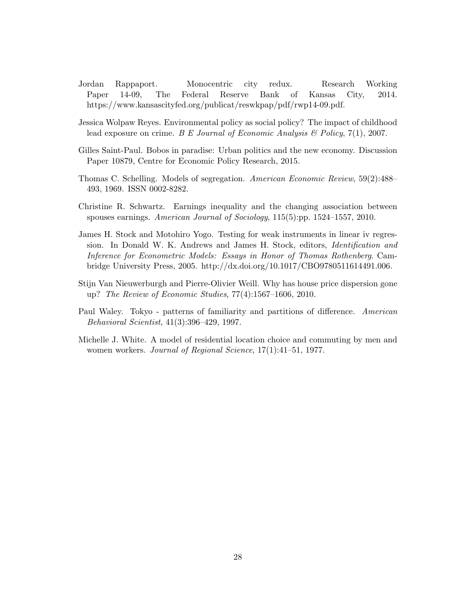- Jordan Rappaport. Monocentric city redux. Research Working Paper 14-09, The Federal Reserve Bank of Kansas City, 2014. https://www.kansascityfed.org/publicat/reswkpap/pdf/rwp14-09.pdf.
- Jessica Wolpaw Reyes. Environmental policy as social policy? The impact of childhood lead exposure on crime. *B E Journal of Economic Analysis & Policy*, 7(1), 2007.
- Gilles Saint-Paul. Bobos in paradise: Urban politics and the new economy. Discussion Paper 10879, Centre for Economic Policy Research, 2015.
- Thomas C. Schelling. Models of segregation. *American Economic Review*, 59(2):488– 493, 1969. ISSN 0002-8282.
- Christine R. Schwartz. Earnings inequality and the changing association between spouses earnings. *American Journal of Sociology*, 115(5):pp. 1524–1557, 2010.
- James H. Stock and Motohiro Yogo. Testing for weak instruments in linear iv regression. In Donald W. K. Andrews and James H. Stock, editors, *Identification and Inference for Econometric Models: Essays in Honor of Thomas Rothenberg*. Cambridge University Press, 2005. http://dx.doi.org/10.1017/CBO9780511614491.006.
- Stijn Van Nieuwerburgh and Pierre-Olivier Weill. Why has house price dispersion gone up? *The Review of Economic Studies*, 77(4):1567–1606, 2010.
- Paul Waley. Tokyo patterns of familiarity and partitions of difference. *American Behavioral Scientist*, 41(3):396–429, 1997.
- Michelle J. White. A model of residential location choice and commuting by men and women workers. *Journal of Regional Science*, 17(1):41–51, 1977.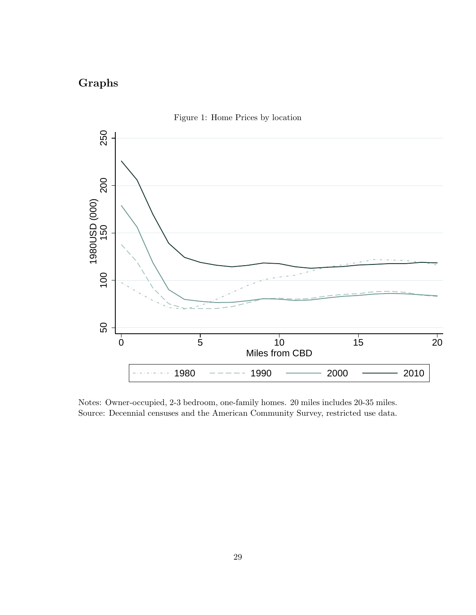# **Graphs**





Notes: Owner-occupied, 2-3 bedroom, one-family homes. 20 miles includes 20-35 miles. Source: Decennial censuses and the American Community Survey, restricted use data.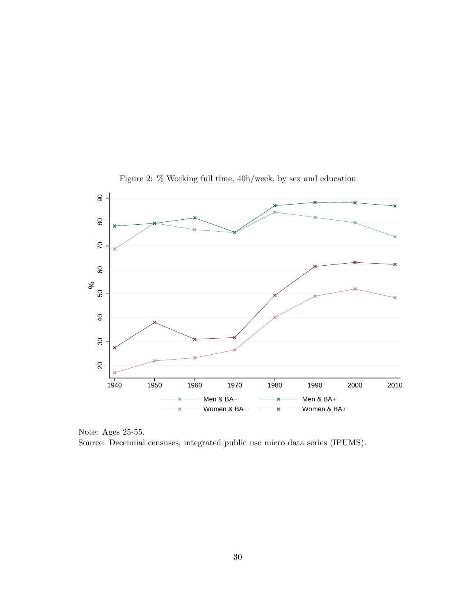

Figure 2: % Working full time, 40h/week, by sex and education

Note: Ages 25-55. Source: Decennial censuses, integrated public use micro data series (IPUMS).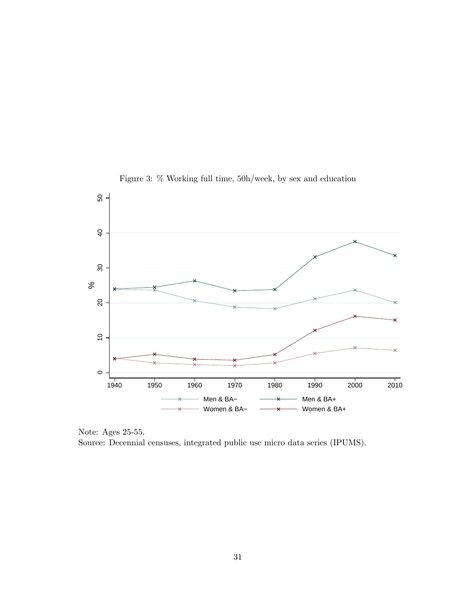

Figure 3: % Working full time, 50h/week, by sex and education

Note: Ages 25-55. Source: Decennial censuses, integrated public use micro data series (IPUMS).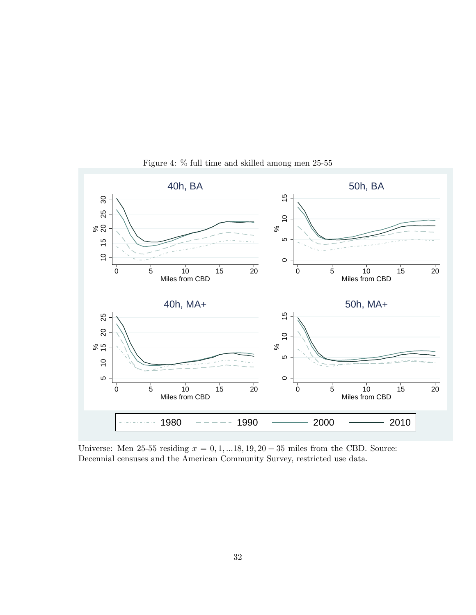

Figure 4: % full time and skilled among men 25-55

Universe: Men 25-55 residing *x* = 0*,* 1*, ...*18*,* 19*,* 20 *−* 35 miles from the CBD. Source: Decennial censuses and the American Community Survey, restricted use data.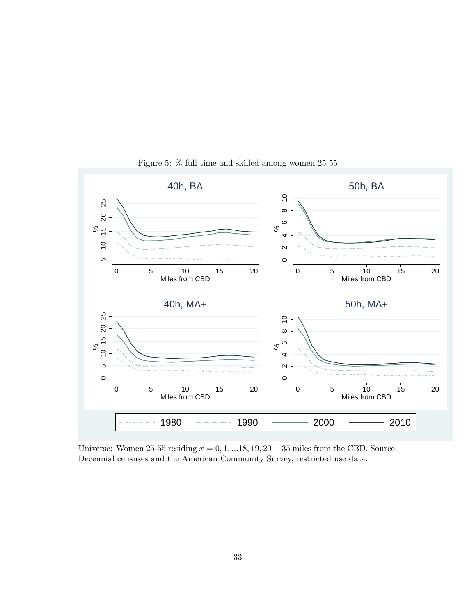

Figure 5: % full time and skilled among women 25-55

Universe: Women 25-55 residing *x* = 0*,* 1*, ...*18*,* 19*,* 20 *−* 35 miles from the CBD. Source: Decennial censuses and the American Community Survey, restricted use data.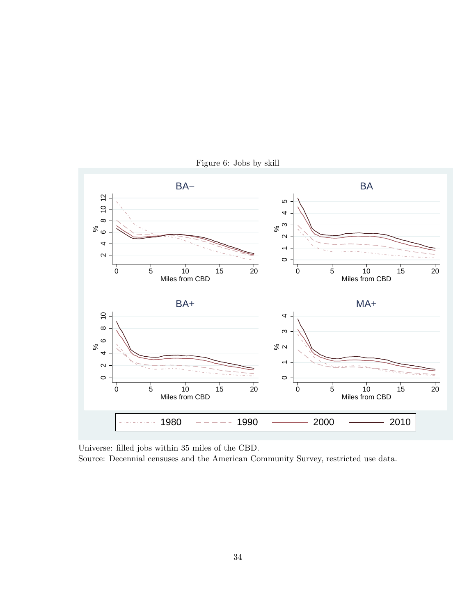

Figure 6: Jobs by skill

Universe: filled jobs within 35 miles of the CBD.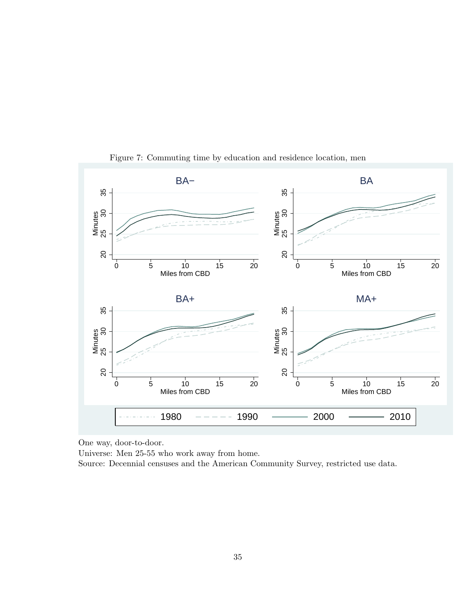

Figure 7: Commuting time by education and residence location, men

Universe: Men 25-55 who work away from home.

One way, door-to-door.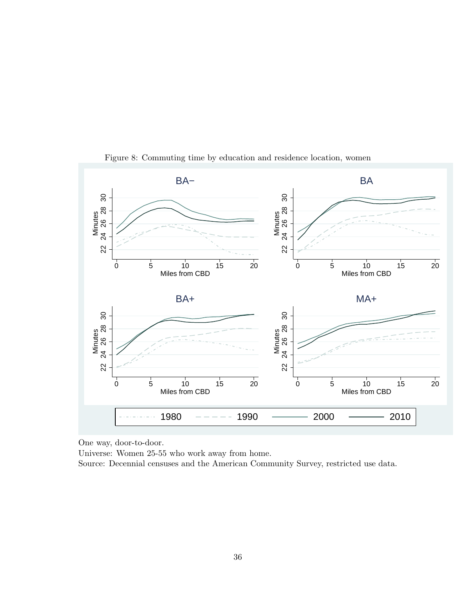

Figure 8: Commuting time by education and residence location, women

Universe: Women 25-55 who work away from home.

One way, door-to-door.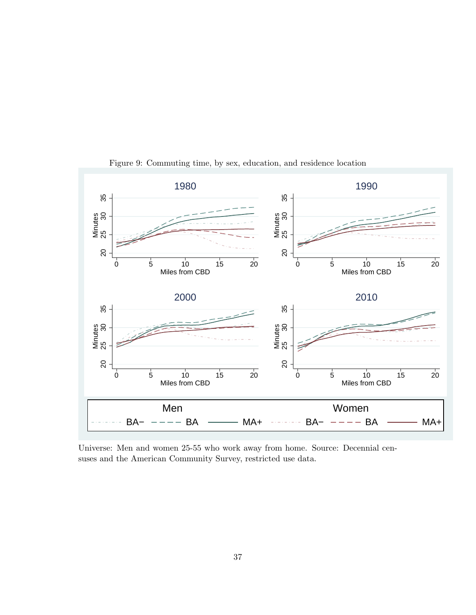

Figure 9: Commuting time, by sex, education, and residence location

Universe: Men and women 25-55 who work away from home. Source: Decennial censuses and the American Community Survey, restricted use data.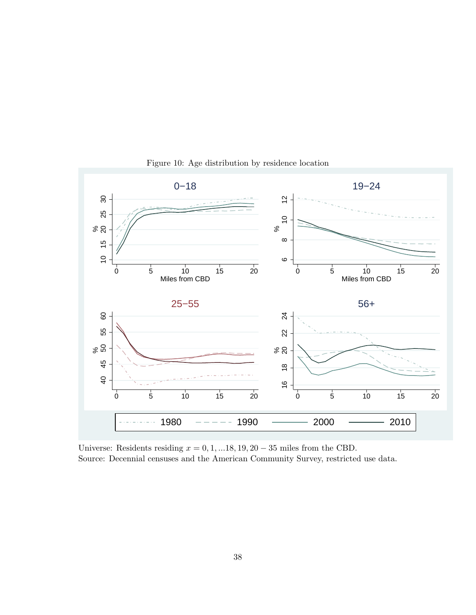

Figure 10: Age distribution by residence location

Universe: Residents residing *x* = 0*,* 1*, ...*18*,* 19*,* 20 *−* 35 miles from the CBD. Source: Decennial censuses and the American Community Survey, restricted use data.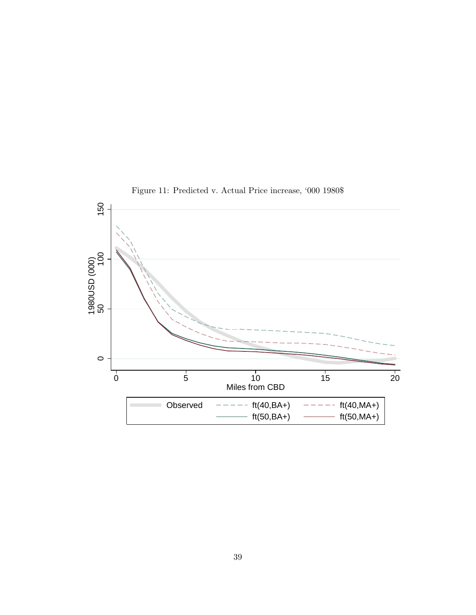

Figure 11: Predicted v. Actual Price increase, '000 1980\$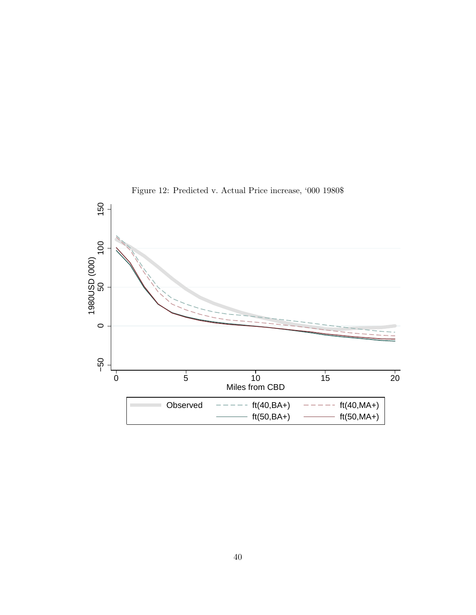

Figure 12: Predicted v. Actual Price increase, '000 1980\$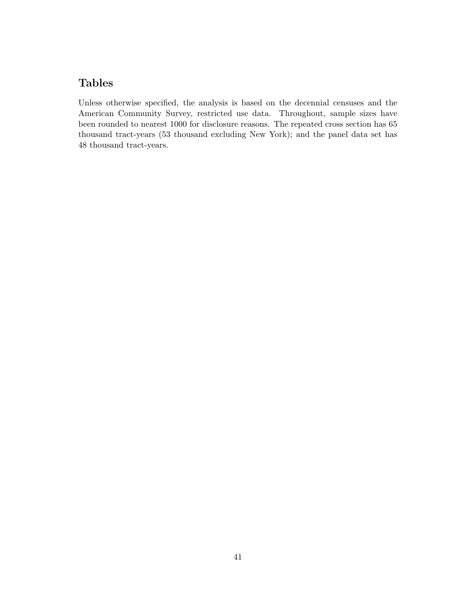### **Tables**

Unless otherwise specified, the analysis is based on the decennial censuses and the American Community Survey, restricted use data. Throughout, sample sizes have been rounded to nearest 1000 for disclosure reasons. The repeated cross section has 65 thousand tract-years (53 thousand excluding New York); and the panel data set has 48 thousand tract-years.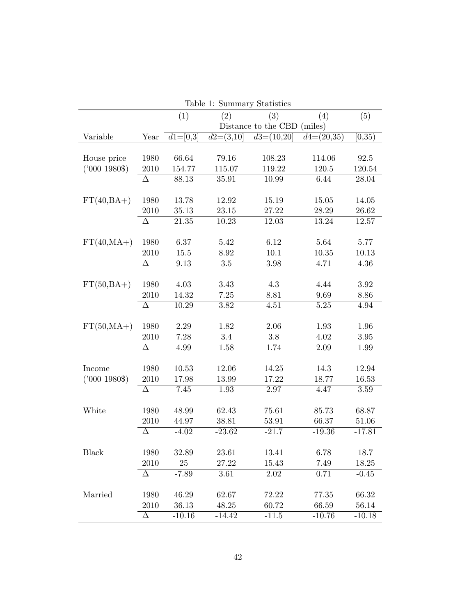|               |          |            | Table 1: Summary Statistics |                             |              |           |
|---------------|----------|------------|-----------------------------|-----------------------------|--------------|-----------|
|               |          | (1)        | (2)                         | (3)                         | (4)          | (5)       |
|               |          |            |                             | Distance to the CBD (miles) |              |           |
| Variable      | Year     | $d1=[0,3]$ | $d2=(3,10)$                 | $d3=(10,20)$                | $d4=(20,35)$ | [0,35)    |
| House price   | 1980     | 66.64      | 79.16                       | 108.23                      | 114.06       | 92.5      |
| $('000 1980\$ | $2010\,$ | 154.77     | 115.07                      | 119.22                      | 120.5        | 120.54    |
|               | $\Delta$ | 88.13      | 35.91                       | 10.99                       | 6.44         | 28.04     |
| $FT(40,BA+)$  | 1980     | 13.78      | 12.92                       | 15.19                       | $15.05\,$    | 14.05     |
|               | $2010\,$ | 35.13      | 23.15                       | $27.22\,$                   | 28.29        | 26.62     |
|               | $\Delta$ | 21.35      | 10.23                       | 12.03                       | 13.24        | 12.57     |
| $FT(40, MA+)$ | 1980     | 6.37       | 5.42                        | 6.12                        | $5.64\,$     | 5.77      |
|               | $2010\,$ | $15.5\,$   | 8.92                        | $10.1\,$                    | 10.35        | 10.13     |
|               | $\Delta$ | 9.13       | $3.5\,$                     | 3.98                        | 4.71         | 4.36      |
| $FT(50,BA+)$  | 1980     | $4.03\,$   | 3.43                        | 4.3                         | 4.44         | $3.92\,$  |
|               | $2010\,$ | 14.32      | 7.25                        | 8.81                        | 9.69         | 8.86      |
|               | $\Delta$ | 10.29      | 3.82                        | 4.51                        | 5.25         | 4.94      |
| $FT(50, MA+)$ | 1980     | 2.29       | 1.82                        | 2.06                        | 1.93         | $1.96\,$  |
|               | $2010\,$ | 7.28       | $3.4\,$                     | $3.8\,$                     | 4.02         | $3.95\,$  |
|               | $\Delta$ | 4.99       | 1.58                        | 1.74                        | 2.09         | 1.99      |
| Income        | 1980     | 10.53      | 12.06                       | 14.25                       | 14.3         | 12.94     |
| $('000 1980\$ | $2010\,$ | 17.98      | 13.99                       | 17.22                       | 18.77        | 16.53     |
|               | $\Delta$ | 7.45       | 1.93                        | 2.97                        | 4.47         | 3.59      |
| White         | 1980     | 48.99      | 62.43                       | 75.61                       | 85.73        | 68.87     |
|               | 2010     | 44.97      | 38.81                       | 53.91                       | 66.37        | $51.06\,$ |
|               | $\Delta$ | $-4.02$    | $-23.62$                    | $-21.7$                     | $-19.36$     | $-17.81$  |
| <b>Black</b>  | 1980     | 32.89      | 23.61                       | 13.41                       | 6.78         | 18.7      |
|               | 2010     | 25         | 27.22                       | 15.43                       | 7.49         | 18.25     |
|               | $\Delta$ | $-7.89$    | 3.61                        | 2.02                        | 0.71         | $-0.45$   |
| Married       | 1980     | 46.29      | 62.67                       | 72.22                       | 77.35        | 66.32     |
|               | 2010     | 36.13      | 48.25                       | 60.72                       | 66.59        | 56.14     |
|               | $\Delta$ | $-10.16$   | $-14.42$                    | $-11.5$                     | $-10.76$     | $-10.18$  |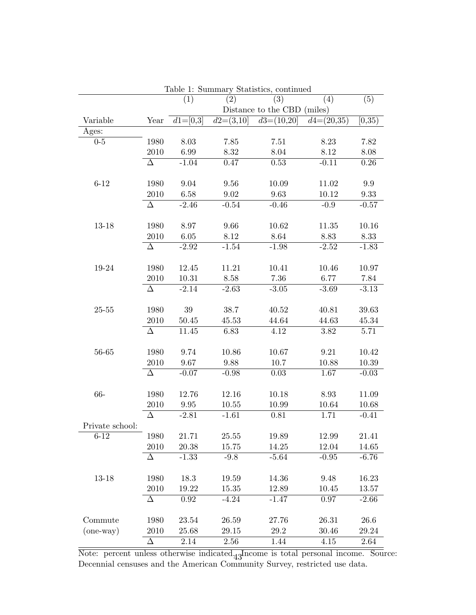|                 |                     |            |                   | rable i: Summary Statistics, continued |              |           |
|-----------------|---------------------|------------|-------------------|----------------------------------------|--------------|-----------|
|                 |                     | (1)        | $\left( 2\right)$ | (3)                                    | (4)          | (5)       |
|                 |                     |            |                   | Distance to the CBD                    | (miles)      |           |
| Variable        | Year                | $d1=[0,3]$ | $d2=(3,10)$       | $d3=(10,20)$                           | $d4=(20,35)$ | [0, 35)   |
| Ages:           |                     |            |                   |                                        |              |           |
| $0-5$           | 1980                | 8.03       | 7.85              | 7.51                                   | 8.23         | 7.82      |
|                 | 2010                | 6.99       | 8.32              | 8.04                                   | 8.12         | 8.08      |
|                 | Δ                   | $-1.04$    | 0.47              | 0.53                                   | $-0.11$      | 0.26      |
|                 |                     |            |                   |                                        |              |           |
| $6 - 12$        | 1980                | 9.04       | 9.56              | 10.09                                  | 11.02        | $\rm 9.9$ |
|                 | 2010                | 6.58       | 9.02              | 9.63                                   | 10.12        | 9.33      |
|                 | $\overline{\Delta}$ | $-2.46$    | $-0.54$           | $-0.46$                                | $-0.9$       | $-0.57$   |
|                 |                     |            |                   |                                        |              |           |
| $13 - 18$       | 1980                | 8.97       | 9.66              | 10.62                                  | 11.35        | 10.16     |
|                 | 2010                | 6.05       | 8.12              | 8.64                                   | 8.83         | 8.33      |
|                 | $\Delta$            | $-2.92$    | $-1.54$           | $-1.98$                                | $-2.52$      | $-1.83$   |
|                 |                     |            |                   |                                        |              |           |
| 19-24           | 1980                | 12.45      | 11.21             | 10.41                                  | 10.46        | 10.97     |
|                 | 2010                | $10.31\,$  | 8.58              | 7.36                                   | 6.77         | 7.84      |
|                 | Δ                   | $-2.14$    | $-2.63$           | $-3.05$                                | $-3.69$      | $-3.13$   |
|                 |                     |            |                   |                                        |              |           |
| $25 - 55$       | 1980                | $39\,$     | 38.7              | 40.52                                  | 40.81        | 39.63     |
|                 | 2010                | 50.45      | 45.53             | 44.64                                  | 44.63        | 45.34     |
|                 | $\Delta$            | 11.45      | 6.83              | 4.12                                   | 3.82         | 5.71      |
| 56-65           | 1980                | 9.74       | 10.86             | 10.67                                  | 9.21         | 10.42     |
|                 | 2010                | 9.67       | 9.88              | 10.7                                   | 10.88        | 10.39     |
|                 | Δ                   | $-0.07$    | $-0.98$           | 0.03                                   | 1.67         | $-0.03$   |
|                 |                     |            |                   |                                        |              |           |
| 66-             | 1980                | 12.76      | 12.16             | 10.18                                  | 8.93         | 11.09     |
|                 | 2010                | 9.95       | 10.55             | 10.99                                  | 10.64        | 10.68     |
|                 | Δ                   | $-2.81$    | $-1.61$           | 0.81                                   | 1.71         | $-0.41$   |
| Private school: |                     |            |                   |                                        |              |           |
| $6 - 12$        | 1980                | 21.71      | 25.55             | 19.89                                  | 12.99        | 21.41     |
|                 | 2010                | 20.38      | 15.75             | 14.25                                  | 12.04        | 14.65     |
|                 | Δ                   | $-1.33$    | $-9.8$            | $-5.64$                                | $-0.95$      | $-6.76$   |
|                 |                     |            |                   |                                        |              |           |
| 13-18           | 1980                | 18.3       | 19.59             | 14.36                                  | 9.48         | 16.23     |
|                 | 2010                | 19.22      | 15.35             | 12.89                                  | 10.45        | 13.57     |
|                 | Δ                   | 0.92       | $-4.24$           | $-1.47$                                | 0.97         | $-2.66$   |
|                 |                     |            |                   |                                        |              |           |
| Commute         | 1980                | 23.54      | 26.59             | 27.76                                  | 26.31        | 26.6      |
| $(one-way)$     | 2010                | 25.68      | 29.15             | $29.2\,$                               | 30.46        | 29.24     |
|                 | Δ                   | 2.14       | 2.56              | 1.44                                   | 4.15         | $2.64\,$  |

Table 1: Summary Statistics, continued

Note: percent unless otherwise indicated.  $\Lambda_1$ Income is total personal income. Source: Decennial censuses and the American Community Survey, restricted use data. 43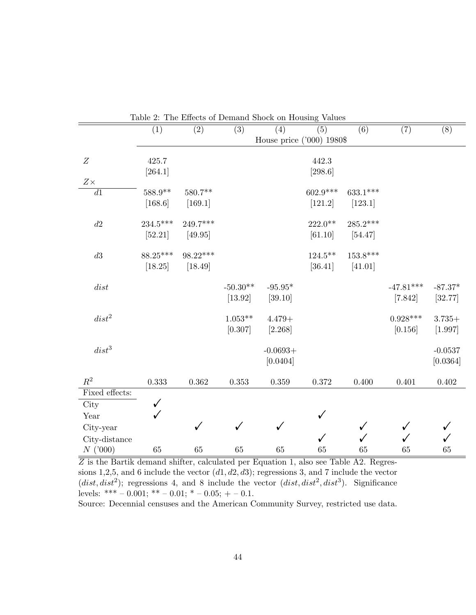|                  | (1)              | (2)          | $\overline{(3)}$ | (4)          | Table 2: The Effects of Demand Shock on Housing Values<br>(5) | (6)        | (7)         | (8)       |
|------------------|------------------|--------------|------------------|--------------|---------------------------------------------------------------|------------|-------------|-----------|
|                  |                  |              |                  |              | House price ('000) 1980\$                                     |            |             |           |
| $\boldsymbol{Z}$ | 425.7<br>[264.1] |              |                  |              | 442.3<br>[298.6]                                              |            |             |           |
| $Z\times$        |                  |              |                  |              |                                                               |            |             |           |
| $\overline{d1}$  | 588.9**          | 580.7**      |                  |              | $602.9***$                                                    | $633.1***$ |             |           |
|                  | [168.6]          | [169.1]      |                  |              | [121.2]                                                       | [123.1]    |             |           |
| $d2\,$           | $234.5***$       | 249.7***     |                  |              | $222.0**$                                                     | $285.2***$ |             |           |
|                  | [52.21]          | [49.95]      |                  |              | [61.10]                                                       | [54.47]    |             |           |
| $d3\,$           | 88.25***         | $98.22***$   |                  |              | $124.5***$                                                    | $153.8***$ |             |           |
|                  | $[18.25]$        | [18.49]      |                  |              | [36.41]                                                       | [41.01]    |             |           |
| dist             |                  |              | $-50.30**$       | $-95.95*$    |                                                               |            | $-47.81***$ | $-87.37*$ |
|                  |                  |              | [13.92]          | [39.10]      |                                                               |            | $[7.842]$   | [32.77]   |
| $dist^2$         |                  |              | $1.053**$        | $4.479+$     |                                                               |            | $0.928***$  | $3.735+$  |
|                  |                  |              | [0.307]          | [2.268]      |                                                               |            | [0.156]     | [1.997]   |
| $dist^3$         |                  |              |                  | $-0.0693+$   |                                                               |            |             | $-0.0537$ |
|                  |                  |              |                  | [0.0404]     |                                                               |            |             | [0.0364]  |
| $\mathbb{R}^2$   | 0.333            | 0.362        | $0.353\,$        | 0.359        | 0.372                                                         | 0.400      | 0.401       | 0.402     |
| Fixed effects:   |                  |              |                  |              |                                                               |            |             |           |
| City             | $\checkmark$     |              |                  |              |                                                               |            |             |           |
| Year             |                  |              |                  |              | $\checkmark$                                                  |            |             |           |
| City-year        |                  | $\checkmark$ | $\checkmark$     | $\checkmark$ |                                                               | ✓          |             |           |
| City-distance    |                  |              |                  |              | ✓                                                             |            |             |           |
| N(000)           | 65               | 65           | 65               | 65           | 65                                                            | $65\,$     | 65          | 65        |

Table 2: The Effects of Demand Shock on Housing Values

*Z* is the Bartik demand shifter, calculated per Equation 1, also see Table A2. Regressions 1,2,5, and 6 include the vector (*d*1*, d*2*, d*3); regressions 3, and 7 include the vector  $(dist, dist^2)$ ; regressions 4, and 8 include the vector  $(dist, dist^2, dist^3)$ . Significance levels: \*\*\* – 0.001; \*\* – 0.01; \* – 0.05; + – 0.1.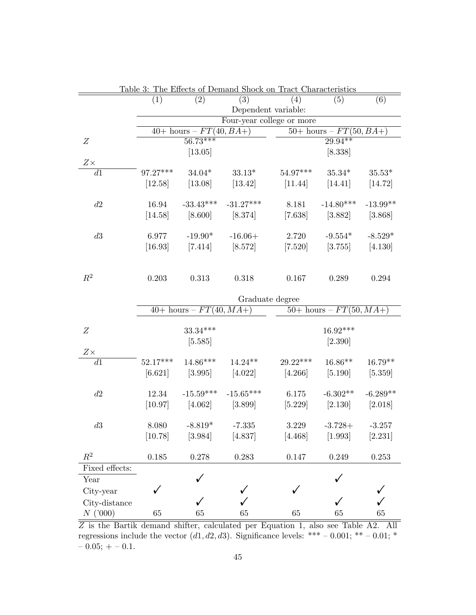|                  |                     |                                      | <u> Table 5: The Effects of Demand Shock on Tract Characteristics</u> |            |                               |            |  |  |
|------------------|---------------------|--------------------------------------|-----------------------------------------------------------------------|------------|-------------------------------|------------|--|--|
|                  | (1)                 | (2)                                  | (3)                                                                   | (4)        | (5)                           | (6)        |  |  |
|                  | Dependent variable: |                                      |                                                                       |            |                               |            |  |  |
|                  |                     |                                      | Four-year college or more                                             |            |                               |            |  |  |
|                  |                     | $40 + \text{hours} - FT(40, BA+)$    |                                                                       |            | $50+ hours - FT(50, BA+)$     |            |  |  |
| Ζ                |                     | $56.73***$                           |                                                                       |            | $29.94**$                     |            |  |  |
|                  |                     | [13.05]                              |                                                                       |            | [8.338]                       |            |  |  |
| $Z\times$        |                     |                                      |                                                                       |            |                               |            |  |  |
| $\overline{d1}$  | 97.27***            | $34.04^{\ast}$                       | $33.13*$                                                              | $54.97***$ | $35.34*$                      | $35.53*$   |  |  |
|                  | [12.58]             | [13.08]                              | [13.42]                                                               | [11.44]    | $[14.41]$                     | [14.72]    |  |  |
|                  |                     |                                      |                                                                       |            |                               |            |  |  |
| d2               | 16.94               | $-33.43***$                          | $-31.27***$                                                           | 8.181      | $-14.80***$                   | $-13.99**$ |  |  |
|                  | [14.58]             | $[8.600]$                            | $[8.374]$                                                             | [7.638]    | $\left[3.882\right]$          | [3.868]    |  |  |
|                  |                     |                                      |                                                                       |            |                               |            |  |  |
| d3               | 6.977               | $-19.90*$                            | $-16.06+$                                                             | 2.720      | $-9.554*$                     | $-8.529*$  |  |  |
|                  | [16.93]             | [7.414]                              | [8.572]                                                               | [7.520]    | $\left[3.755\right]$          | [4.130]    |  |  |
|                  |                     |                                      |                                                                       |            |                               |            |  |  |
|                  |                     |                                      |                                                                       |            |                               |            |  |  |
| $R^2$            | 0.203               | 0.313                                | 0.318                                                                 | 0.167      | 0.289                         | 0.294      |  |  |
|                  |                     |                                      |                                                                       |            |                               |            |  |  |
|                  |                     |                                      | Graduate degree                                                       |            |                               |            |  |  |
|                  |                     | $40+ hours - FT(\overline{40, MA+})$ |                                                                       |            | $50+ hours - FT(50, MA+)$     |            |  |  |
|                  |                     |                                      |                                                                       |            |                               |            |  |  |
| Ζ                |                     | $33.34***$                           |                                                                       |            | $16.92***$                    |            |  |  |
|                  |                     | [5.585]                              |                                                                       |            | [2.390]                       |            |  |  |
| $Z\times$        |                     |                                      |                                                                       |            |                               |            |  |  |
| $\overline{d}$ 1 | $52.17***$          | $14.86***$                           | $14.24**$                                                             | $29.22***$ | $16.86**$                     | $16.79**$  |  |  |
|                  | [6.621]             | [3.995]                              | [4.022]                                                               | [4.266]    | $[5.190]$                     | [5.359]    |  |  |
|                  |                     |                                      |                                                                       |            |                               |            |  |  |
| d2               | 12.34               | $-15.59***$                          | $-15.65***$                                                           | 6.175      | $-6.302**$                    | $-6.289**$ |  |  |
|                  | [10.97]             | $[4.062]$ $[3.899]$                  |                                                                       |            | $[5.229]$ $[2.130]$ $[2.018]$ |            |  |  |
|                  |                     |                                      |                                                                       |            |                               |            |  |  |
| d3               | 8.080               | $-8.819*$                            | $-7.335$                                                              | 3.229      | $-3.728+$                     | $-3.257$   |  |  |
|                  | [10.78]             | $[3.984]$                            | [4.837]                                                               | [4.468]    | [1.993]                       | [2.231]    |  |  |
|                  |                     |                                      |                                                                       |            |                               |            |  |  |
| $R^2$            | $0.185\,$           | $0.278\,$                            | 0.283                                                                 | $0.147\,$  | 0.249                         | 0.253      |  |  |
| Fixed effects:   |                     |                                      |                                                                       |            |                               |            |  |  |
| Year             |                     | ✓                                    |                                                                       |            | ✓                             |            |  |  |
|                  |                     |                                      |                                                                       |            |                               |            |  |  |
| City-year        |                     |                                      |                                                                       |            |                               |            |  |  |
| City-distance    |                     |                                      |                                                                       |            |                               |            |  |  |
| N(000)           | 65                  | 65                                   | 65                                                                    | 65         | 65                            | 65         |  |  |

Table 3: The Effects of Demand Shock on Tract Characteristics

*Z* is the Bartik demand shifter, calculated per Equation 1, also see Table A2. All regressions include the vector  $(d1, d2, d3)$ . Significance levels: \*\*\* – 0.001; \*\* – 0.01; \*  $-0.05; + -0.1.$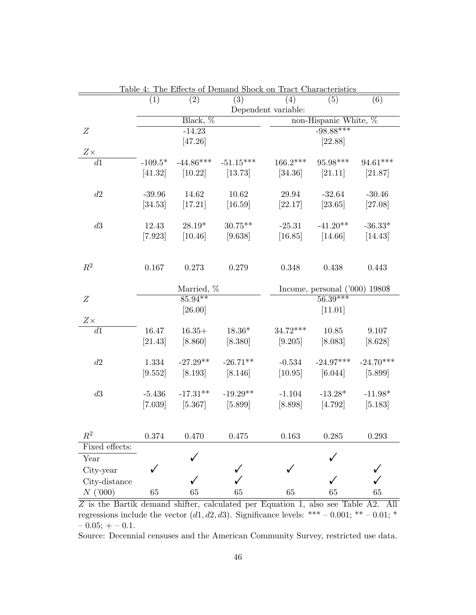|                  |                   |                  | OHOUN       |                     | 1 / 11 a 1 a 1        |                                                                      |  |  |  |
|------------------|-------------------|------------------|-------------|---------------------|-----------------------|----------------------------------------------------------------------|--|--|--|
|                  | (1)               | $\overline{(2)}$ | (3)         | (4)                 | $\bar{5}$             | $\overline{(6)}$                                                     |  |  |  |
|                  |                   |                  |             | Dependent variable: |                       |                                                                      |  |  |  |
|                  |                   | Black, $%$       |             |                     | non-Hispanic White, % |                                                                      |  |  |  |
| $\boldsymbol{Z}$ |                   | $-14.23$         |             |                     | $-98.88***$           |                                                                      |  |  |  |
|                  |                   | [47.26]          |             |                     | [22.88]               |                                                                      |  |  |  |
| $Z\times$        |                   |                  |             |                     |                       |                                                                      |  |  |  |
| $\overline{d1}$  | $-109.5*$         | $-44.86***$      | $-51.15***$ | $166.2***$          | 95.98***              | 94.61***                                                             |  |  |  |
|                  | [41.32]           | [10.22]          | [13.73]     | [34.36]             | [21.11]               | [21.87]                                                              |  |  |  |
| d2               | $-39.96$          | 14.62            | 10.62       | 29.94               | $-32.64$              | $-30.46$                                                             |  |  |  |
|                  | [34.53]           | [17.21]          | [16.59]     | [22.17]             | [23.65]               | [27.08]                                                              |  |  |  |
| $d3\,$           | 12.43             | $28.19*$         | $30.75**$   | $-25.31$            | $-41.20**$            | $-36.33*$                                                            |  |  |  |
|                  | [7.923]           | [10.46]          | [9.638]     | [16.85]             | [14.66]               | [14.43]                                                              |  |  |  |
|                  |                   |                  |             |                     |                       |                                                                      |  |  |  |
| $R^2$            | 0.167             | 0.273            | 0.279       | 0.348               | 0.438                 | 0.443                                                                |  |  |  |
|                  |                   | Married, %       |             |                     |                       | Income, personal $('000)$ 1980\$<br>$\overline{56.39***}$<br>[11.01] |  |  |  |
| Z                |                   | $85.94***$       |             |                     |                       |                                                                      |  |  |  |
|                  |                   | [26.00]          |             |                     |                       |                                                                      |  |  |  |
| $Z\times$        |                   |                  |             |                     |                       |                                                                      |  |  |  |
| $\overline{d1}$  | 16.47             | $16.35+$         | $18.36*$    | $34.72***$          | 10.85                 | 9.107                                                                |  |  |  |
|                  | [21.43]           | [8.860]          | [8.380]     | [9.205]             | [8.083]               | [8.628]                                                              |  |  |  |
| d2               | 1.334             | $-27.29**$       | $-26.71**$  | $-0.534$            | $-24.97***$           | $-24.70***$                                                          |  |  |  |
|                  | [9.552]           | [8.193]          | [8.146]     | [10.95]             | [6.044]               | [5.899]                                                              |  |  |  |
| d3               | $\textbf{-}5.436$ | $-17.31**$       | $-19.29**$  | $-1.104$            | $-13.28*$             | $-11.98*$                                                            |  |  |  |
|                  | [7.039]           | [5.367]          | [5.899]     | [8.898]             | [4.792]               | [5.183]                                                              |  |  |  |
|                  |                   |                  |             |                     |                       |                                                                      |  |  |  |
| $R^2$            | 0.374             | 0.470            | 0.475       | 0.163               | 0.285                 | 0.293                                                                |  |  |  |
| Fixed effects:   |                   |                  |             |                     |                       |                                                                      |  |  |  |
| Year             |                   |                  |             |                     |                       |                                                                      |  |  |  |
| City-year        | ✓                 |                  |             |                     |                       | ✓                                                                    |  |  |  |
| City-distance    |                   |                  |             |                     |                       | $\checkmark$                                                         |  |  |  |
| N(7000)          | 65                | 65               | 65          | 65                  | 65                    | 65                                                                   |  |  |  |

| Table 4: The Effects of Demand Shock on Tract Characteristics |  |  |
|---------------------------------------------------------------|--|--|
|                                                               |  |  |

*Z* is the Bartik demand shifter, calculated per Equation 1, also see Table A2. All regressions include the vector  $(d_1, d_2, d_3)$ . Significance levels: \*\*\* – 0.001; \*\* – 0.01; \*  $-0.05$ ;  $+ -0.1$ .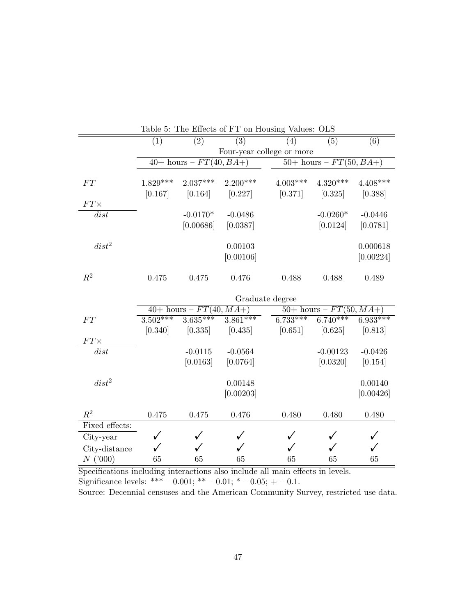|                   | Table 5: The Effects of FT on Housing Values: OLS              |                           |            |                           |                           |            |  |  |  |  |
|-------------------|----------------------------------------------------------------|---------------------------|------------|---------------------------|---------------------------|------------|--|--|--|--|
|                   | (1)                                                            | (2)                       | (3)        | (4)                       | (5)                       | (6)        |  |  |  |  |
|                   |                                                                |                           |            | Four-year college or more |                           |            |  |  |  |  |
|                   |                                                                | $40+ hours - FT(40, BA+)$ |            |                           | $50+ hours - FT(50, BA+)$ |            |  |  |  |  |
|                   |                                                                |                           |            |                           |                           |            |  |  |  |  |
| FT                | $1.829***$                                                     | $2.037***$                | $2.200***$ | $4.003***$                | $4.320***$                | $4.408***$ |  |  |  |  |
|                   | [0.167]                                                        | [0.164]                   | [0.227]    | [0.371]                   | [0.325]                   | [0.388]    |  |  |  |  |
| $FT\times$        |                                                                |                           |            |                           |                           |            |  |  |  |  |
| $\overline{dist}$ |                                                                | $-0.0170*$                | $-0.0486$  |                           | $-0.0260*$                | $-0.0446$  |  |  |  |  |
|                   |                                                                | [0.00686]                 | [0.0387]   |                           | [0.0124]                  | [0.0781]   |  |  |  |  |
| dist <sup>2</sup> |                                                                |                           | 0.00103    |                           |                           | 0.000618   |  |  |  |  |
|                   |                                                                |                           | [0.00106]  |                           |                           | [0.00224]  |  |  |  |  |
|                   |                                                                |                           |            |                           |                           |            |  |  |  |  |
| $\mathbb{R}^2$    | 0.475                                                          | 0.475                     | 0.476      | 0.488                     | 0.488                     | 0.489      |  |  |  |  |
|                   |                                                                |                           |            |                           |                           |            |  |  |  |  |
|                   |                                                                | Graduate degree           |            |                           |                           |            |  |  |  |  |
|                   | $40 + \text{hours} - FT(40, MA+)$<br>$50+ hours - FT(50, MA+)$ |                           |            |                           |                           |            |  |  |  |  |
| FT                | $3.502***$                                                     | $3.635***$                | $3.861***$ | $6.733***$                | $6.740***$                | $6.933***$ |  |  |  |  |
|                   | [0.340]                                                        | [0.335]                   | [0.435]    | [0.651]                   | [0.625]                   | [0.813]    |  |  |  |  |
| $FT \times$       |                                                                |                           |            |                           |                           |            |  |  |  |  |
| $\overline{dist}$ |                                                                | $-0.0115$                 | $-0.0564$  |                           | $-0.00123$                | $-0.0426$  |  |  |  |  |
|                   |                                                                | [0.0163]                  | [0.0764]   |                           | [0.0320]                  | [0.154]    |  |  |  |  |
|                   |                                                                |                           |            |                           |                           |            |  |  |  |  |
| dist <sup>2</sup> |                                                                |                           | 0.00148    |                           |                           | 0.00140    |  |  |  |  |
|                   |                                                                |                           | [0.00203]  |                           |                           | [0.00426]  |  |  |  |  |
| $\mathbb{R}^2$    |                                                                |                           |            |                           |                           |            |  |  |  |  |
|                   | 0.475                                                          | 0.475                     | 0.476      | 0.480                     | 0.480                     | 0.480      |  |  |  |  |
| Fixed effects:    |                                                                |                           |            |                           |                           |            |  |  |  |  |
| City-year         | $\checkmark$                                                   |                           |            |                           |                           |            |  |  |  |  |
| City-distance     |                                                                |                           |            |                           |                           |            |  |  |  |  |
| N(000)            | 65                                                             | 65                        | 65         | 65                        | 65                        | 65         |  |  |  |  |

| Specifications including interactions also include all main effects in levels. |  |
|--------------------------------------------------------------------------------|--|
| Significance levels: *** - 0.001; ** - 0.01; * - 0.05; + - 0.1.                |  |
|                                                                                |  |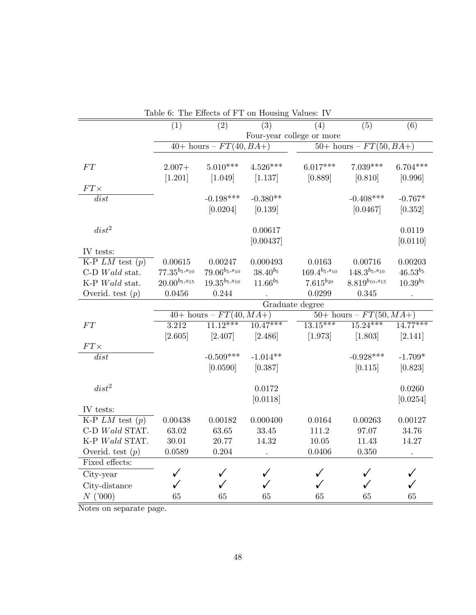|                                        |                      |                           | Table 6: The Effects of FT on Housing Values: IV |                           |                           |                       |
|----------------------------------------|----------------------|---------------------------|--------------------------------------------------|---------------------------|---------------------------|-----------------------|
|                                        | (1)                  | $\overline{(2)}$          | $\overline{(3)}$                                 | (4)                       | (5)                       | $\overline{(6)}$      |
|                                        |                      |                           |                                                  | Four-year college or more |                           |                       |
|                                        |                      | $40+ hours - FT(40, BA+)$ |                                                  |                           | $50+ hours - FT(50, BA+)$ |                       |
| FT                                     | $2.007+$<br>[1.201]  | $5.010***$<br>[1.049]     | $4.526***$<br>[1.137]                            | $6.017***$<br>[0.889]     | $7.039***$<br>[0.810]     | $6.704***$<br>[0.996] |
| $FT\times$                             |                      |                           |                                                  |                           |                           |                       |
| $\overline{dist}$                      |                      | $-0.198***$<br>[0.0204]   | $-0.380**$<br>[0.139]                            |                           | $-0.408***$<br>[0.0467]   | $-0.767*$<br>[0.352]  |
| $dist^2$                               |                      |                           | 0.00617<br>[0.00437]                             |                           |                           | 0.0119<br>[0.0110]    |
| $\rm IV$ tests:                        |                      |                           |                                                  |                           |                           |                       |
| $\overline{\text{K-P } LM}$ test $(p)$ | 0.00615              | 0.00247                   | 0.000493                                         | 0.0163                    | 0.00716                   | 0.00203               |
| $C-D$ Wald stat.                       | $77.35^{b_5,s_{10}}$ | $79.06^{b_5,s_{10}}$      | $38.40^{b_5}$                                    | $169.4^{b_5,s_{10}}$      | $148.3^{b_5,s_{10}}$      | $46.53^{b_5}$         |
| K-P Wald stat.                         | $20.00^{b_5,s_{15}}$ | $19.35^{b_5,s_{10}}$      | $11.66^{b_5}$                                    | $7.615^{b_{20}}$          | $8.819^{b_{10},s_{15}}$   | $10.39^{b_5}$         |
| Overid. test $(p)$                     | 0.0456               | 0.244                     |                                                  | 0.0299                    | 0.345                     |                       |
|                                        |                      |                           |                                                  | Graduate degree           |                           |                       |
|                                        |                      | $40+ hours - FT(40, MA+)$ |                                                  |                           | $50+ hours - FT(50, MA+)$ |                       |
| ${\cal FT}$                            | 3.212                | $11.12***$                | $10.47***$                                       | $13.15***$                | $15.24***$                | $14.77***$            |
| $FT \times$                            | [2.605]              | [2.407]                   | [2.486]                                          | [1.973]                   | [1.803]                   | [2.141]               |
| dist                                   |                      | $-0.509***$               | $-1.014**$                                       |                           | $-0.928***$               | $-1.709*$             |
|                                        |                      | [0.0590]                  | [0.387]                                          |                           | [0.115]                   | [0.823]               |
| $dist^2$                               |                      |                           | 0.0172<br>[0.0118]                               |                           |                           | 0.0260<br>[0.0254]    |
| IV tests:                              |                      |                           |                                                  |                           |                           |                       |
| $K-PLM$ test $(p)$                     | 0.00438              | 0.00182                   | 0.000400                                         | 0.0164                    | 0.00263                   | 0.00127               |
| C-D Wald STAT.                         | 63.02                | 63.65                     | 33.45                                            | 111.2                     | 97.07                     | 34.76                 |
| K-P Wald STAT.                         | 30.01                | 20.77                     | 14.32                                            | $10.05\,$                 | 11.43                     | 14.27                 |
| Overid. test $(p)$                     | 0.0589               | 0.204                     |                                                  | 0.0406                    | 0.350                     |                       |
| Fixed effects:                         |                      |                           |                                                  |                           |                           |                       |
| City-year                              | ✓                    | ✓                         | ✓                                                | ✓                         | ✓                         | ✓                     |
| City-distance                          | ✓                    | ✓                         | ✓                                                | ✓                         | ✓                         | ✓                     |
| N(000)                                 | 65                   | 65                        | 65                                               | 65                        | 65                        | 65                    |

| Table 6: The Effects of FT on Housing Values: IV |  |  |  |  |  |  |  |
|--------------------------------------------------|--|--|--|--|--|--|--|
|--------------------------------------------------|--|--|--|--|--|--|--|

Notes on separate page.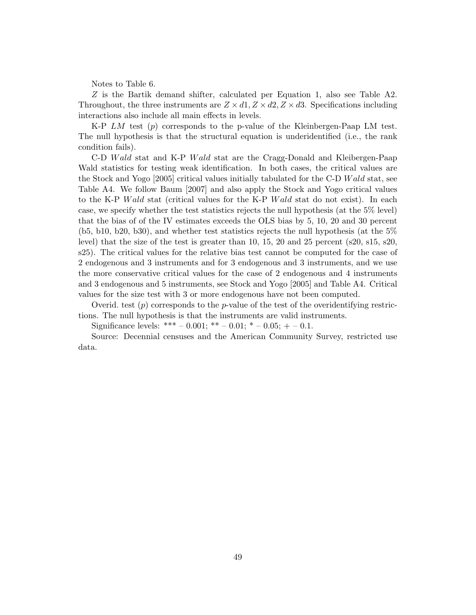Notes to Table 6.

*Z* is the Bartik demand shifter, calculated per Equation 1, also see Table A2. Throughout, the three instruments are  $Z \times d_1, Z \times d_2, Z \times d_3$ . Specifications including interactions also include all main effects in levels.

K-P *LM* test (*p*) corresponds to the p-value of the Kleinbergen-Paap LM test. The null hypothesis is that the structural equation is underidentified (i.e., the rank condition fails).

C-D *W ald* stat and K-P *W ald* stat are the Cragg-Donald and Kleibergen-Paap Wald statistics for testing weak identification. In both cases, the critical values are the Stock and Yogo [2005] critical values initially tabulated for the C-D *W ald* stat, see Table A4. We follow Baum [2007] and also apply the Stock and Yogo critical values to the K-P *W ald* stat (critical values for the K-P *W ald* stat do not exist). In each case, we specify whether the test statistics rejects the null hypothesis (at the 5% level) that the bias of of the IV estimates exceeds the OLS bias by 5, 10, 20 and 30 percent (b5, b10, b20, b30), and whether test statistics rejects the null hypothesis (at the 5% level) that the size of the test is greater than 10, 15, 20 and 25 percent (s20, s15, s20, s25). The critical values for the relative bias test cannot be computed for the case of 2 endogenous and 3 instruments and for 3 endogenous and 3 instruments, and we use the more conservative critical values for the case of 2 endogenous and 4 instruments and 3 endogenous and 5 instruments, see Stock and Yogo [2005] and Table A4. Critical values for the size test with 3 or more endogenous have not been computed.

Overid. test (*p*) corresponds to the *p*-value of the test of the overidentifying restrictions. The null hypothesis is that the instruments are valid instruments.

Significance levels: \*\*\* – 0.001; \*\* – 0.01; \* – 0.05; + – 0.1.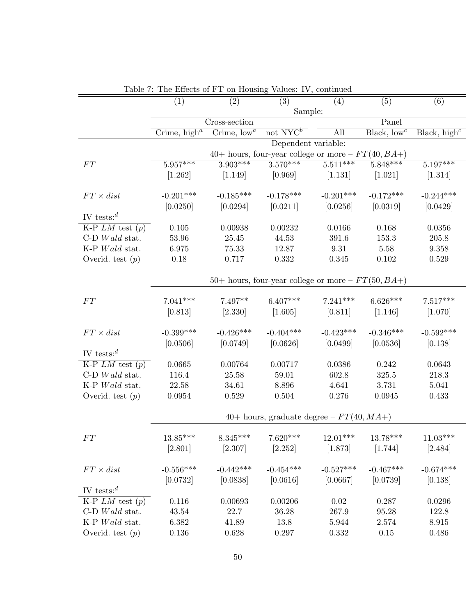|                                        | Lable 1. The Effects of I T on Housing values. Tv, continued<br>(1) | (2)               | (3)                                                | (4)              | (5)                     | (6)                                   |  |  |
|----------------------------------------|---------------------------------------------------------------------|-------------------|----------------------------------------------------|------------------|-------------------------|---------------------------------------|--|--|
|                                        |                                                                     |                   | Sample:                                            |                  |                         |                                       |  |  |
|                                        |                                                                     | Cross-section     |                                                    |                  | Panel                   |                                       |  |  |
|                                        | Crime, high <sup><math>a</math></sup>                               | $C$ rime, $low^a$ | not $\text{NYC}^b$                                 | $\overline{All}$ | Black, low <sup>c</sup> | Black, high <sup><math>c</math></sup> |  |  |
|                                        |                                                                     |                   | Dependent variable:                                |                  |                         |                                       |  |  |
|                                        |                                                                     |                   | 40+ hours, four-year college or more $-FT(40,BA+)$ |                  |                         |                                       |  |  |
| ${\cal FT}$                            | $5.957***$                                                          | $3.903***$        | $3.570***$                                         | $5.511***$       | $5.848***$              | $5.197***$                            |  |  |
|                                        | [1.262]                                                             | [1.149]           | [0.969]                                            | [1.131]          | [1.021]                 | [1.314]                               |  |  |
| $FT \times dist$                       | $-0.201***$                                                         | $-0.185***$       | $-0.178***$                                        | $-0.201***$      | $-0.172***$             | $-0.244***$                           |  |  |
|                                        | [0.0250]                                                            | [0.0294]          | [0.0211]                                           | [0.0256]         | [0.0319]                | [0.0429]                              |  |  |
| IV tests: $^d$                         |                                                                     |                   |                                                    |                  |                         |                                       |  |  |
| K-P $LM$ test $(p)$                    | 0.105                                                               | 0.00938           | 0.00232                                            | 0.0166           | 0.168                   | 0.0356                                |  |  |
| $C-D$ <i>Wald</i> stat.                | 53.96                                                               | 25.45             | 44.53                                              | 391.6            | 153.3                   | 205.8                                 |  |  |
| K-P Wald stat.                         | 6.975                                                               | 75.33             | 12.87                                              | 9.31             | 5.58                    | 9.358                                 |  |  |
| Overid. test $(p)$                     | 0.18                                                                | 0.717             | 0.332                                              | 0.345            | 0.102                   | 0.529                                 |  |  |
|                                        | 50+ hours, four-year college or more $-FT(50, BA+)$                 |                   |                                                    |                  |                         |                                       |  |  |
| FT                                     | $7.041***$                                                          | $7.497**$         | $6.407***$                                         | $7.241***$       | $6.626***$              | $7.517***$                            |  |  |
|                                        | [0.813]                                                             | [2.330]           | [1.605]                                            | [0.811]          | [1.146]                 | [1.070]                               |  |  |
|                                        |                                                                     |                   |                                                    |                  |                         |                                       |  |  |
| $FT \times dist$                       | $-0.399***$                                                         | $-0.426***$       | $-0.404***$                                        | $-0.423***$      | $-0.346***$             | $-0.592***$                           |  |  |
| IV tests: $^d$                         | [0.0506]                                                            | [0.0749]          | [0.0626]                                           | [0.0499]         | [0.0536]                | [0.138]                               |  |  |
| $\overline{\text{K-P } LM}$ test $(p)$ | 0.0665                                                              | 0.00764           | 0.00717                                            | 0.0386           | 0.242                   | 0.0643                                |  |  |
| $C-D$ <i>Wald</i> stat.                | 116.4                                                               | 25.58             | $59.01\,$                                          | 602.8            | 325.5                   | 218.3                                 |  |  |
| K-P Wald stat.                         | 22.58                                                               | 34.61             | 8.896                                              | 4.641            | 3.731                   | 5.041                                 |  |  |
| Overid. test $(p)$                     | 0.0954                                                              | 0.529             | 0.504                                              | 0.276            | 0.0945                  | 0.433                                 |  |  |
|                                        |                                                                     |                   | 40+ hours, graduate degree – $FT(40, MA+)$         |                  |                         |                                       |  |  |
| FΤ                                     | $13.85***$                                                          | $8.345***$        | $7.620***$                                         | $12.01***$       | $13.78***$              | $11.03***$                            |  |  |
|                                        | [2.801]                                                             | [2.307]           | [2.252]                                            | [1.873]          | [1.744]                 | [2.484]                               |  |  |
|                                        |                                                                     |                   |                                                    |                  |                         |                                       |  |  |
| $FT \times dist$                       | $-0.556***$                                                         | $-0.442***$       | $-0.454***$                                        | $-0.527***$      | $-0.467***$             | $-0.674***$                           |  |  |
|                                        | [0.0732]                                                            | [0.0838]          | [0.0616]                                           | [0.0667]         | [0.0739]                | [0.138]                               |  |  |
| IV tests: $^d$                         |                                                                     |                   |                                                    |                  |                         |                                       |  |  |
| K-P $LM$ test $(p)$                    | 0.116                                                               | 0.00693           | 0.00206                                            | 0.02             | 0.287                   | 0.0296                                |  |  |
| $C-D$ <i>Wald</i> stat.                | 43.54                                                               | 22.7              | 36.28                                              | 267.9            | 95.28                   | 122.8                                 |  |  |
| K-P Wald stat.                         | 6.382                                                               | 41.89             | 13.8                                               | 5.944            | 2.574                   | 8.915                                 |  |  |
| Overid. test $(p)$                     | 0.136                                                               | 0.628             | 0.297                                              | 0.332            | $0.15\,$                | 0.486                                 |  |  |

|  |  |  |  |  |  |  |  | Table 7: The Effects of FT on Housing Values: IV, continued |
|--|--|--|--|--|--|--|--|-------------------------------------------------------------|
|--|--|--|--|--|--|--|--|-------------------------------------------------------------|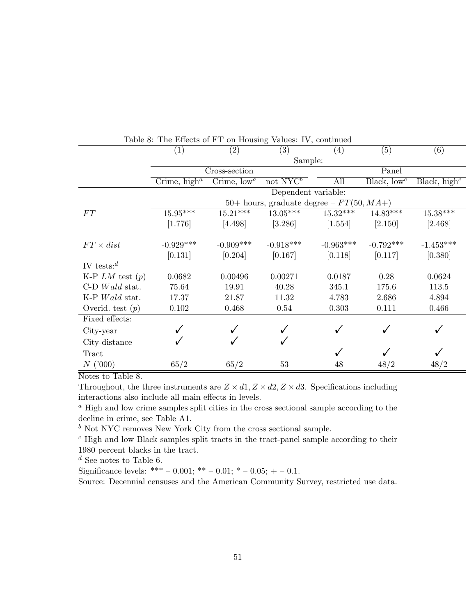|                         | (1)                                        | (2)                                          | (3)         | (4)         | (5)            | (6)                                   |  |  |
|-------------------------|--------------------------------------------|----------------------------------------------|-------------|-------------|----------------|---------------------------------------|--|--|
|                         | Sample:                                    |                                              |             |             |                |                                       |  |  |
|                         | Cross-section                              |                                              |             |             | Panel          |                                       |  |  |
|                         | Crime, high <sup><math>a</math></sup>      | $\overline{\text{Crime}}$ , low <sup>a</sup> | not $NYC^b$ | All         | Black, $low^c$ | Black, high <sup><math>c</math></sup> |  |  |
|                         |                                            | Dependent variable:                          |             |             |                |                                       |  |  |
|                         | 50+ hours, graduate degree – $FT(50, MA+)$ |                                              |             |             |                |                                       |  |  |
| FT                      | $15.95***$                                 | $15.21***$                                   | $13.05***$  | $15.32***$  | $14.83***$     | $15.38***$                            |  |  |
|                         | [1.776]                                    | [4.498]                                      | [3.286]     | [1.554]     | [2.150]        | [2.468]                               |  |  |
|                         |                                            |                                              |             |             |                |                                       |  |  |
| $FT \times dist$        | $-0.929***$                                | $-0.909***$                                  | $-0.918***$ | $-0.963***$ | $-0.792***$    | $-1.453***$                           |  |  |
|                         | [0.131]                                    | [0.204]                                      | [0.167]     | [0.118]     | [0.117]        | [0.380]                               |  |  |
| IV tests: $^d$          |                                            |                                              |             |             |                |                                       |  |  |
| K-P $LM$ test $(p)$     | 0.0682                                     | 0.00496                                      | 0.00271     | 0.0187      | 0.28           | 0.0624                                |  |  |
| $C-D$ <i>Wald</i> stat. | 75.64                                      | 19.91                                        | 40.28       | 345.1       | 175.6          | 113.5                                 |  |  |
| K-P Wald stat.          | 17.37                                      | 21.87                                        | 11.32       | 4.783       | 2.686          | 4.894                                 |  |  |
| Overid. test $(p)$      | 0.102                                      | 0.468                                        | 0.54        | 0.303       | 0.111          | 0.466                                 |  |  |
| Fixed effects:          |                                            |                                              |             |             |                |                                       |  |  |
| City-year               |                                            |                                              |             |             |                |                                       |  |  |
| City-distance           |                                            |                                              |             |             |                |                                       |  |  |
| Tract                   |                                            |                                              |             |             |                |                                       |  |  |
| N(000)                  | 65/2                                       | 65/2                                         | 53          | 48          | 48/2           | 48/2                                  |  |  |

Table 8: The Effects of FT on Housing Values: IV, continued

Notes to Table 8.

Throughout, the three instruments are  $Z \times d_1, Z \times d_2, Z \times d_3$ . Specifications including interactions also include all main effects in levels.

*<sup>a</sup>* High and low crime samples split cities in the cross sectional sample according to the decline in crime, see Table A1.

*<sup>b</sup>* Not NYC removes New York City from the cross sectional sample.

<sup>c</sup> High and low Black samples split tracts in the tract-panel sample according to their 1980 percent blacks in the tract.

*<sup>d</sup>* See notes to Table 6.

Significance levels: \*\*\* – 0.001; \*\* – 0.01; \* – 0.05; + – 0.1.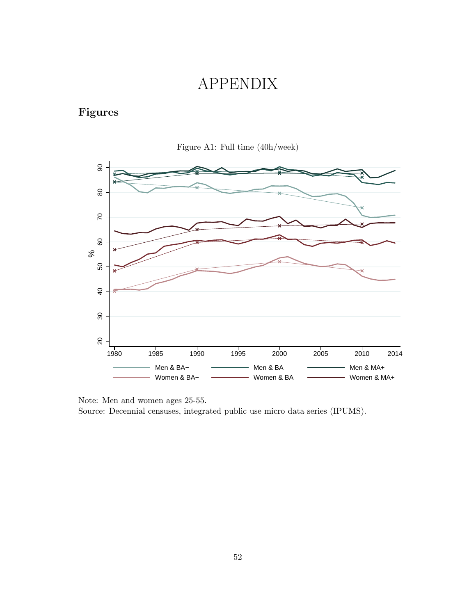# APPENDIX

## **Figures**



Figure A1: Full time (40h/week)

Note: Men and women ages 25-55. Source: Decennial censuses, integrated public use micro data series (IPUMS).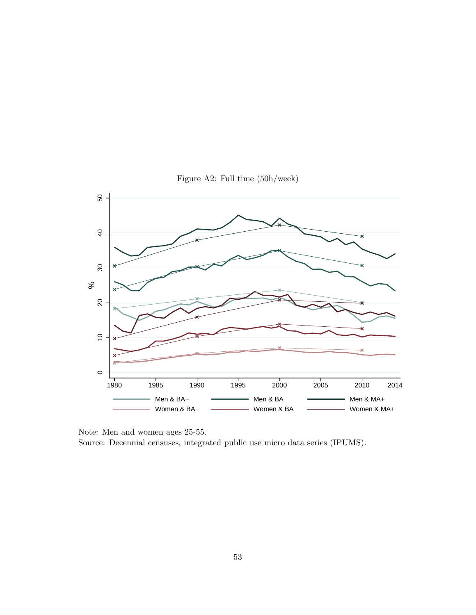



Note: Men and women ages 25-55.

Source: Decennial censuses, integrated public use micro data series (IPUMS).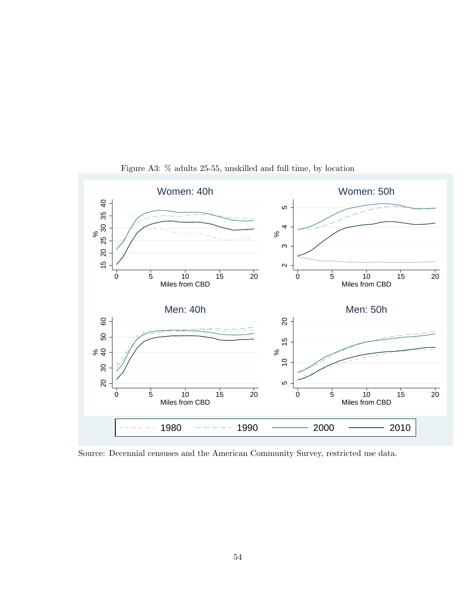

Figure A3: % adults 25-55, unskilled and full time, by location

Source: Decennial censuses and the American Community Survey, restricted use data.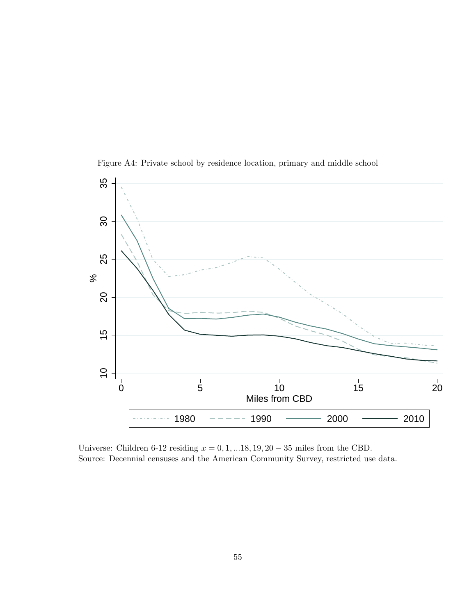

Figure A4: Private school by residence location, primary and middle school

Universe: Children 6-12 residing *x* = 0*,* 1*, ...*18*,* 19*,* 20 *−* 35 miles from the CBD. Source: Decennial censuses and the American Community Survey, restricted use data.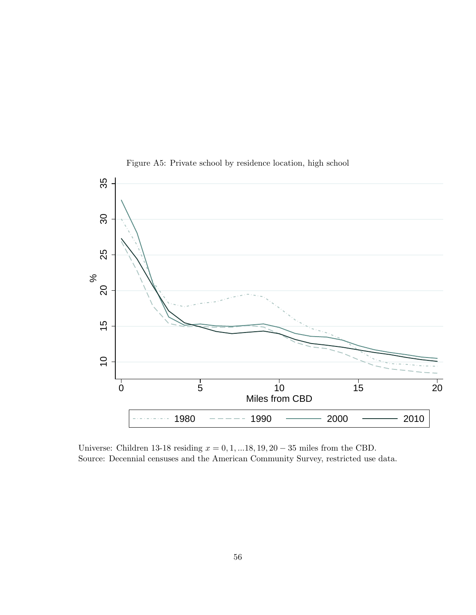

Figure A5: Private school by residence location, high school

Universe: Children 13-18 residing *x* = 0*,* 1*, ...*18*,* 19*,* 20 *−* 35 miles from the CBD. Source: Decennial censuses and the American Community Survey, restricted use data.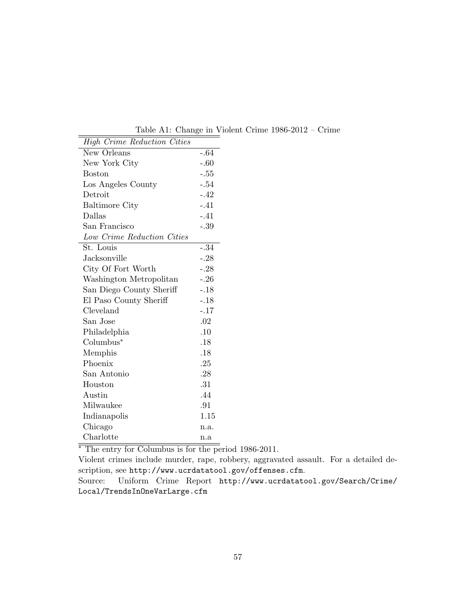Table A1: Change in Violent Crime 1986-2012 – Crime

| <b>High Crime Reduction Cities</b> |        |
|------------------------------------|--------|
| New Orleans                        | $-.64$ |
| New York City                      | $-.60$ |
| <b>Boston</b>                      | $-.55$ |
| Los Angeles County                 | $-.54$ |
| Detroit                            | $-.42$ |
| <b>Baltimore City</b>              | $-.41$ |
| Dallas                             | $-.41$ |
| San Francisco                      | $-.39$ |
| Low Crime Reduction Cities         |        |
| St. Louis                          | $-.34$ |
| Jacksonville                       | $-.28$ |
| City Of Fort Worth                 | $-.28$ |
| Washington Metropolitan            | $-.26$ |
| San Diego County Sheriff           | $-.18$ |
| El Paso County Sheriff             | $-.18$ |
| Cleveland                          | $-.17$ |
| San Jose                           | .02    |
| Philadelphia                       | .10    |
| $Columbus*$                        | .18    |
| Memphis                            | .18    |
| Phoenix                            | .25    |
| San Antonio                        | .28    |
| Houston                            | .31    |
| Austin                             | .44    |
| Milwaukee                          | .91    |
| Indianapolis                       | 1.15   |
| Chicago                            | n.a.   |
| Charlotte                          | n.a    |

*∗* The entry for Columbus is for the period 1986-2011.

Violent crimes include murder, rape, robbery, aggravated assault. For a detailed description, see http://www.ucrdatatool.gov/offenses.cfm.

Source: Uniform Crime Report http://www.ucrdatatool.gov/Search/Crime/ Local/TrendsInOneVarLarge.cfm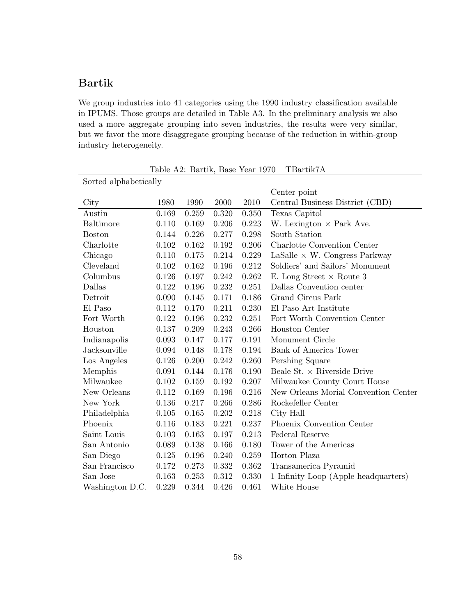### **Bartik**

We group industries into 41 categories using the 1990 industry classification available in IPUMS. Those groups are detailed in Table A3. In the preliminary analysis we also used a more aggregate grouping into seven industries, the results were very similar, but we favor the more disaggregate grouping because of the reduction in within-group industry heterogeneity.

| $10010$ $1121$ $12000$ $10000$ $1000$ $1010$<br>Sorted alphabetically |       |       |       |       |                                      |
|-----------------------------------------------------------------------|-------|-------|-------|-------|--------------------------------------|
|                                                                       |       |       |       |       | Center point                         |
| City                                                                  | 1980  | 1990  | 2000  | 2010  | Central Business District (CBD)      |
| Austin                                                                | 0.169 | 0.259 | 0.320 | 0.350 | Texas Capitol                        |
| Baltimore                                                             | 0.110 | 0.169 | 0.206 | 0.223 | W. Lexington $\times$ Park Ave.      |
| <b>Boston</b>                                                         | 0.144 | 0.226 | 0.277 | 0.298 | South Station                        |
| Charlotte                                                             | 0.102 | 0.162 | 0.192 | 0.206 | Charlotte Convention Center          |
| Chicago                                                               | 0.110 | 0.175 | 0.214 | 0.229 | LaSalle $\times$ W. Congress Parkway |
| Cleveland                                                             | 0.102 | 0.162 | 0.196 | 0.212 | Soldiers' and Sailors' Monument      |
| Columbus                                                              | 0.126 | 0.197 | 0.242 | 0.262 | E. Long Street $\times$ Route 3      |
| Dallas                                                                | 0.122 | 0.196 | 0.232 | 0.251 | Dallas Convention center             |
| Detroit                                                               | 0.090 | 0.145 | 0.171 | 0.186 | Grand Circus Park                    |
| El Paso                                                               | 0.112 | 0.170 | 0.211 | 0.230 | El Paso Art Institute                |
| Fort Worth                                                            | 0.122 | 0.196 | 0.232 | 0.251 | Fort Worth Convention Center         |
| Houston                                                               | 0.137 | 0.209 | 0.243 | 0.266 | Houston Center                       |
| Indianapolis                                                          | 0.093 | 0.147 | 0.177 | 0.191 | Monument Circle                      |
| Jacksonville                                                          | 0.094 | 0.148 | 0.178 | 0.194 | Bank of America Tower                |
| Los Angeles                                                           | 0.126 | 0.200 | 0.242 | 0.260 | Pershing Square                      |
| Memphis                                                               | 0.091 | 0.144 | 0.176 | 0.190 | Beale St. $\times$ Riverside Drive   |
| Milwaukee                                                             | 0.102 | 0.159 | 0.192 | 0.207 | Milwaukee County Court House         |
| New Orleans                                                           | 0.112 | 0.169 | 0.196 | 0.216 | New Orleans Morial Convention Center |
| New York                                                              | 0.136 | 0.217 | 0.266 | 0.286 | Rockefeller Center                   |
| Philadelphia                                                          | 0.105 | 0.165 | 0.202 | 0.218 | City Hall                            |
| Phoenix                                                               | 0.116 | 0.183 | 0.221 | 0.237 | Phoenix Convention Center            |
| Saint Louis                                                           | 0.103 | 0.163 | 0.197 | 0.213 | Federal Reserve                      |
| San Antonio                                                           | 0.089 | 0.138 | 0.166 | 0.180 | Tower of the Americas                |
| San Diego                                                             | 0.125 | 0.196 | 0.240 | 0.259 | Horton Plaza                         |
| San Francisco                                                         | 0.172 | 0.273 | 0.332 | 0.362 | Transamerica Pyramid                 |
| San Jose                                                              | 0.163 | 0.253 | 0.312 | 0.330 | 1 Infinity Loop (Apple headquarters) |
| Washington D.C.                                                       | 0.229 | 0.344 | 0.426 | 0.461 | White House                          |

Table A2: Bartik, Base Year 1970 – TBartik7A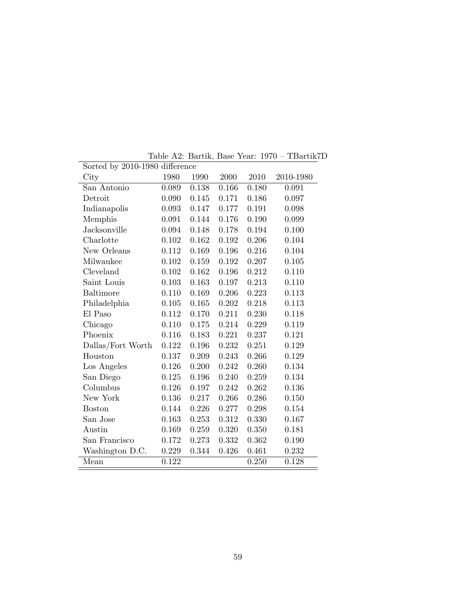| Sorted by 2010-1980 difference |       |       |       |           |           |  |  |
|--------------------------------|-------|-------|-------|-----------|-----------|--|--|
| City                           | 1980  | 1990  | 2000  | 2010      | 2010-1980 |  |  |
| San Antonio                    | 0.089 | 0.138 | 0.166 | 0.180     | 0.091     |  |  |
| Detroit                        | 0.090 | 0.145 | 0.171 | 0.186     | 0.097     |  |  |
| Indianapolis                   | 0.093 | 0.147 | 0.177 | 0.191     | 0.098     |  |  |
| Memphis                        | 0.091 | 0.144 | 0.176 | $0.190\,$ | 0.099     |  |  |
| Jacksonville                   | 0.094 | 0.148 | 0.178 | 0.194     | 0.100     |  |  |
| Charlotte                      | 0.102 | 0.162 | 0.192 | 0.206     | 0.104     |  |  |
| New Orleans                    | 0.112 | 0.169 | 0.196 | 0.216     | 0.104     |  |  |
| Milwaukee                      | 0.102 | 0.159 | 0.192 | 0.207     | 0.105     |  |  |
| Cleveland                      | 0.102 | 0.162 | 0.196 | 0.212     | 0.110     |  |  |
| Saint Louis                    | 0.103 | 0.163 | 0.197 | 0.213     | 0.110     |  |  |
| Baltimore                      | 0.110 | 0.169 | 0.206 | 0.223     | 0.113     |  |  |
| Philadelphia                   | 0.105 | 0.165 | 0.202 | 0.218     | 0.113     |  |  |
| El Paso                        | 0.112 | 0.170 | 0.211 | 0.230     | 0.118     |  |  |
| Chicago                        | 0.110 | 0.175 | 0.214 | 0.229     | 0.119     |  |  |
| Phoenix                        | 0.116 | 0.183 | 0.221 | 0.237     | 0.121     |  |  |
| Dallas/Fort Worth              | 0.122 | 0.196 | 0.232 | 0.251     | 0.129     |  |  |
| Houston                        | 0.137 | 0.209 | 0.243 | 0.266     | 0.129     |  |  |
| Los Angeles                    | 0.126 | 0.200 | 0.242 | 0.260     | 0.134     |  |  |
| San Diego                      | 0.125 | 0.196 | 0.240 | 0.259     | 0.134     |  |  |
| Columbus                       | 0.126 | 0.197 | 0.242 | 0.262     | 0.136     |  |  |
| New York                       | 0.136 | 0.217 | 0.266 | 0.286     | 0.150     |  |  |
| <b>Boston</b>                  | 0.144 | 0.226 | 0.277 | 0.298     | 0.154     |  |  |
| San Jose                       | 0.163 | 0.253 | 0.312 | 0.330     | 0.167     |  |  |
| Austin                         | 0.169 | 0.259 | 0.320 | 0.350     | 0.181     |  |  |
| San Francisco                  | 0.172 | 0.273 | 0.332 | 0.362     | 0.190     |  |  |
| Washington D.C.                | 0.229 | 0.344 | 0.426 | 0.461     | 0.232     |  |  |
| Mean                           | 0.122 |       |       | 0.250     | 0.128     |  |  |

Table A2: Bartik, Base Year: 1970 – TBartik7D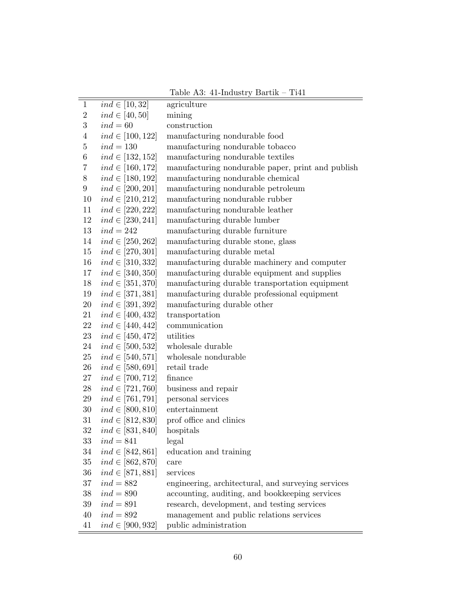| $\mathbf{1}$   | $ind \in [10, 32]$   | agriculture                                        |
|----------------|----------------------|----------------------------------------------------|
| $\overline{2}$ | $ind \in [40, 50]$   | mining                                             |
| 3              | $ind = 60$           | construction                                       |
| $\overline{4}$ | $ind \in [100, 122]$ | manufacturing nondurable food                      |
| $\overline{5}$ | $ind = 130$          | manufacturing nondurable tobacco                   |
| $\,6$          | $ind \in [132, 152]$ | manufacturing nondurable textiles                  |
| 7              | $ind \in [160, 172]$ | manufacturing nondurable paper, print and publish  |
| $8\,$          | $ind \in [180, 192]$ | manufacturing nondurable chemical                  |
| 9              | $ind \in [200, 201]$ | manufacturing nondurable petroleum                 |
| 10             | $ind \in [210, 212]$ | manufacturing nondurable rubber                    |
| 11             | $ind \in [220, 222]$ | manufacturing nondurable leather                   |
| 12             | $ind \in [230, 241]$ | manufacturing durable lumber                       |
| 13             | $ind = 242$          | manufacturing durable furniture                    |
| 14             | $ind \in [250, 262]$ | manufacturing durable stone, glass                 |
| 15             | $ind \in [270, 301]$ | manufacturing durable metal                        |
| 16             | $ind \in [310, 332]$ | manufacturing durable machinery and computer       |
| 17             | $ind \in [340, 350]$ | manufacturing durable equipment and supplies       |
| 18             | $ind \in [351, 370]$ | manufacturing durable transportation equipment     |
| 19             | $ind \in [371, 381]$ | manufacturing durable professional equipment       |
| $20\,$         | $ind \in [391, 392]$ | manufacturing durable other                        |
| 21             | $ind \in [400, 432]$ | transportation                                     |
| $22\,$         | $ind \in [440, 442]$ | communication                                      |
| $23\,$         | $ind \in [450, 472]$ | utilities                                          |
| $24\,$         | $ind \in [500, 532]$ | wholesale durable                                  |
| 25             | $ind \in [540, 571]$ | wholesale nondurable                               |
| 26             | $ind \in [580, 691]$ | retail trade                                       |
| $27\,$         | $ind \in [700, 712]$ | finance                                            |
| $28\,$         | $ind \in [721, 760]$ | business and repair                                |
| $29\,$         | $ind \in [761, 791]$ | personal services                                  |
| $30\,$         | $ind \in [800, 810]$ | entertainment                                      |
| 31             | $ind \in [812, 830]$ | prof office and clinics                            |
| $32\,$         | $ind \in [831, 840]$ | hospitals                                          |
| 33             | $ind = 841$          | legal                                              |
| 34             | $ind \in [842, 861]$ | education and training                             |
| 35             | $ind \in [862, 870]$ | care                                               |
| 36             | $ind \in [871, 881]$ | services                                           |
| 37             | $ind = 882$          | engineering, architectural, and surveying services |
| $38\,$         | $ind = 890$          | accounting, auditing, and bookkeeping services     |
| $39\,$         | $ind = 891$          | research, development, and testing services        |
| $40\,$         | $ind = 892$          | management and public relations services           |
| 41             | $ind \in [900, 932]$ | public administration                              |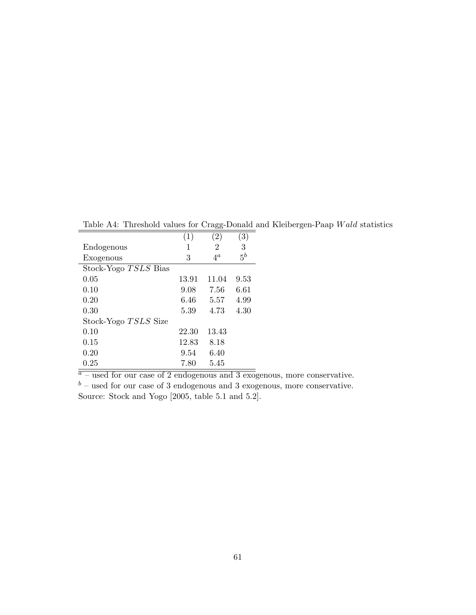|                      | $\left( 1\right)$ | $\left( 2\right)$ | $\left( 3\right)$ |
|----------------------|-------------------|-------------------|-------------------|
| Endogenous           | 1                 | 2                 | 3                 |
| Exogenous            | 3                 | $4^a$             | $5^b$             |
| Stock-Yogo TSLS Bias |                   |                   |                   |
| 0.05                 | 13.91             | 11.04             | 9.53              |
| 0.10                 | 9.08              | 7.56              | 6.61              |
| 0.20                 | 6.46              | 5.57              | 4.99              |
| 0.30                 | 5.39              | 4.73              | 4.30              |
| Stock-Yogo TSLS Size |                   |                   |                   |
| 0.10                 | 22.30             | 13.43             |                   |
| 0.15                 | 12.83             | 8.18              |                   |
| 0.20                 | 9.54              | 6.40              |                   |
| 0.25                 | 7.80              | 5.45              |                   |

Table A4: Threshold values for Cragg-Donald and Kleibergen-Paap *W ald* statistics

 $a -$  used for our case of 2 endogenous and 3 exogenous, more conservative.

*<sup>b</sup>* – used for our case of 3 endogenous and 3 exogenous, more conservative. Source: Stock and Yogo [2005, table 5.1 and 5.2].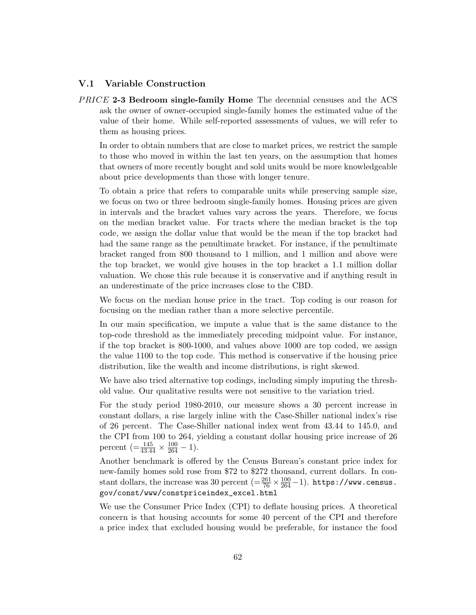#### **V.1 Variable Construction**

*P RICE* **2-3 Bedroom single-family Home** The decennial censuses and the ACS ask the owner of owner-occupied single-family homes the estimated value of the value of their home. While self-reported assessments of values, we will refer to them as housing prices.

In order to obtain numbers that are close to market prices, we restrict the sample to those who moved in within the last ten years, on the assumption that homes that owners of more recently bought and sold units would be more knowledgeable about price developments than those with longer tenure.

To obtain a price that refers to comparable units while preserving sample size, we focus on two or three bedroom single-family homes. Housing prices are given in intervals and the bracket values vary across the years. Therefore, we focus on the median bracket value. For tracts where the median bracket is the top code, we assign the dollar value that would be the mean if the top bracket had had the same range as the penultimate bracket. For instance, if the penultimate bracket ranged from 800 thousand to 1 million, and 1 million and above were the top bracket, we would give houses in the top bracket a 1.1 million dollar valuation. We chose this rule because it is conservative and if anything result in an underestimate of the price increases close to the CBD.

We focus on the median house price in the tract. Top coding is our reason for focusing on the median rather than a more selective percentile.

In our main specification, we impute a value that is the same distance to the top-code threshold as the immediately preceding midpoint value. For instance, if the top bracket is 800-1000, and values above 1000 are top coded, we assign the value 1100 to the top code. This method is conservative if the housing price distribution, like the wealth and income distributions, is right skewed.

We have also tried alternative top codings, including simply imputing the threshold value. Our qualitative results were not sensitive to the variation tried.

For the study period 1980-2010, our measure shows a 30 percent increase in constant dollars, a rise largely inline with the Case-Shiller national index's rise of 26 percent. The Case-Shiller national index went from 43.44 to 145.0, and the CPI from 100 to 264, yielding a constant dollar housing price increase of 26 percent  $\left(=\frac{145}{43.44} \times \frac{100}{264} - 1\right)$ .

Another benchmark is offered by the Census Bureau's constant price index for new-family homes sold rose from \$72 to \$272 thousand, current dollars. In constant dollars, the increase was 30 percent  $(=\frac{261}{76} \times \frac{100}{264} - 1)$ . https://www.census. gov/const/www/constpriceindex\_excel.html

We use the Consumer Price Index (CPI) to deflate housing prices. A theoretical concern is that housing accounts for some 40 percent of the CPI and therefore a price index that excluded housing would be preferable, for instance the food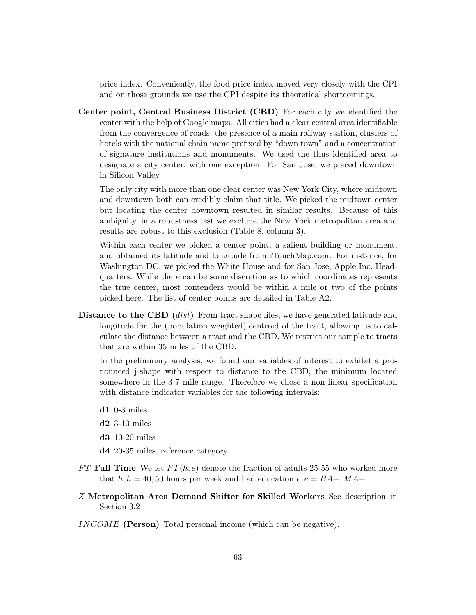price index. Conveniently, the food price index moved very closely with the CPI and on those grounds we use the CPI despite its theoretical shortcomings.

**Center point, Central Business District (CBD)** For each city we identified the center with the help of Google maps. All cities had a clear central area identifiable from the convergence of roads, the presence of a main railway station, clusters of hotels with the national chain name prefixed by "down town" and a concentration of signature institutions and monuments. We used the thus identified area to designate a city center, with one exception. For San Jose, we placed downtown in Silicon Valley.

The only city with more than one clear center was New York City, where midtown and downtown both can credibly claim that title. We picked the midtown center but locating the center downtown resulted in similar results. Because of this ambiguity, in a robustness test we exclude the New York metropolitan area and results are robust to this exclusion (Table 8, column 3).

Within each center we picked a center point, a salient building or monument, and obtained its latitude and longitude from iTouchMap.com. For instance, for Washington DC, we picked the White House and for San Jose, Apple Inc. Headquarters. While there can be some discretion as to which coordinates represents the true center, most contenders would be within a mile or two of the points picked here. The list of center points are detailed in Table A2.

**Distance to the CBD** (*dist*) From tract shape files, we have generated latitude and longitude for the (population weighted) centroid of the tract, allowing us to calculate the distance between a tract and the CBD. We restrict our sample to tracts that are within 35 miles of the CBD.

In the preliminary analysis, we found our variables of interest to exhibit a pronounced j-shape with respect to distance to the CBD, the minimum located somewhere in the 3-7 mile range. Therefore we chose a non-linear specification with distance indicator variables for the following intervals:

- **d1** 0-3 miles
- **d2** 3-10 miles
- **d3** 10-20 miles
- **d4** 20-35 miles, reference category.
- *FT* Full Time We let  $FT(h, e)$  denote the fraction of adults 25-55 who worked more that  $h, h = 40, 50$  hours per week and had education  $e, e = BA + M A +$ .
- *Z* **Metropolitan Area Demand Shifter for Skilled Workers** See description in Section 3.2

*INCOME* **(Person)** Total personal income (which can be negative).